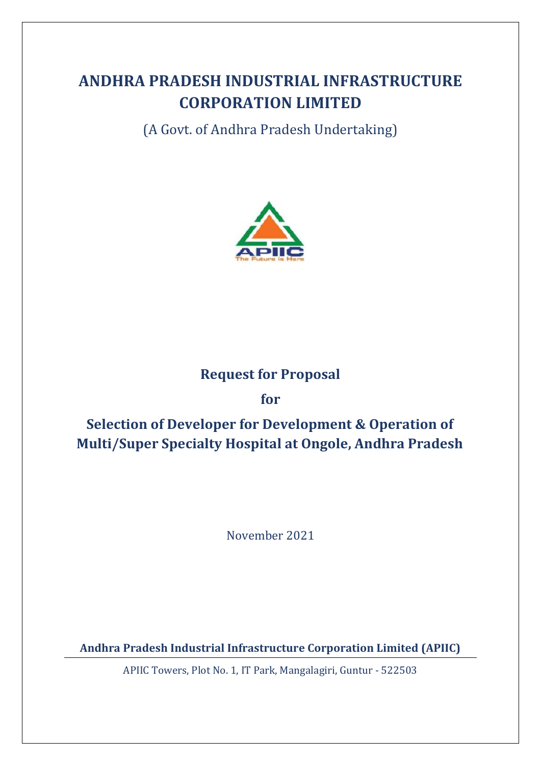# **ANDHRA PRADESH INDUSTRIAL INFRASTRUCTURE CORPORATION LIMITED**

(A Govt. of Andhra Pradesh Undertaking)



# **Request for Proposal**

# **for**

# **Selection of Developer for Development & Operation of Multi/Super Specialty Hospital at Ongole, Andhra Pradesh**

November 2021

**Andhra Pradesh Industrial Infrastructure Corporation Limited (APIIC)**

APIIC Towers, Plot No. 1, IT Park, Mangalagiri, Guntur - 522503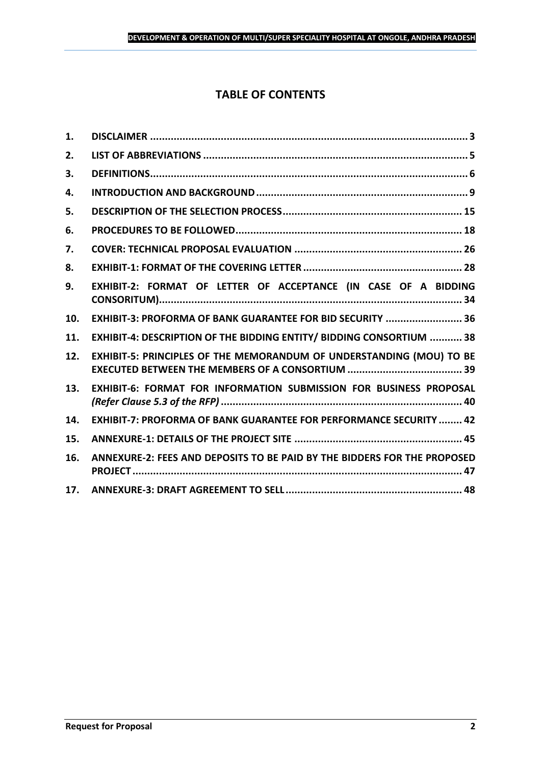# **TABLE OF CONTENTS**

| 1.  |                                                                           |
|-----|---------------------------------------------------------------------------|
| 2.  |                                                                           |
| 3.  |                                                                           |
| 4.  |                                                                           |
| 5.  |                                                                           |
| 6.  |                                                                           |
| 7.  |                                                                           |
| 8.  |                                                                           |
| 9.  | EXHIBIT-2: FORMAT OF LETTER OF ACCEPTANCE (IN CASE OF A BIDDING           |
| 10. | EXHIBIT-3: PROFORMA OF BANK GUARANTEE FOR BID SECURITY  36                |
| 11. | EXHIBIT-4: DESCRIPTION OF THE BIDDING ENTITY/ BIDDING CONSORTIUM  38      |
| 12. | EXHIBIT-5: PRINCIPLES OF THE MEMORANDUM OF UNDERSTANDING (MOU) TO BE      |
| 13. | <b>EXHIBIT-6: FORMAT FOR INFORMATION SUBMISSION FOR BUSINESS PROPOSAL</b> |
| 14. | <b>EXHIBIT-7: PROFORMA OF BANK GUARANTEE FOR PERFORMANCE SECURITY  42</b> |
| 15. |                                                                           |
| 16. | ANNEXURE-2: FEES AND DEPOSITS TO BE PAID BY THE BIDDERS FOR THE PROPOSED  |
| 17. |                                                                           |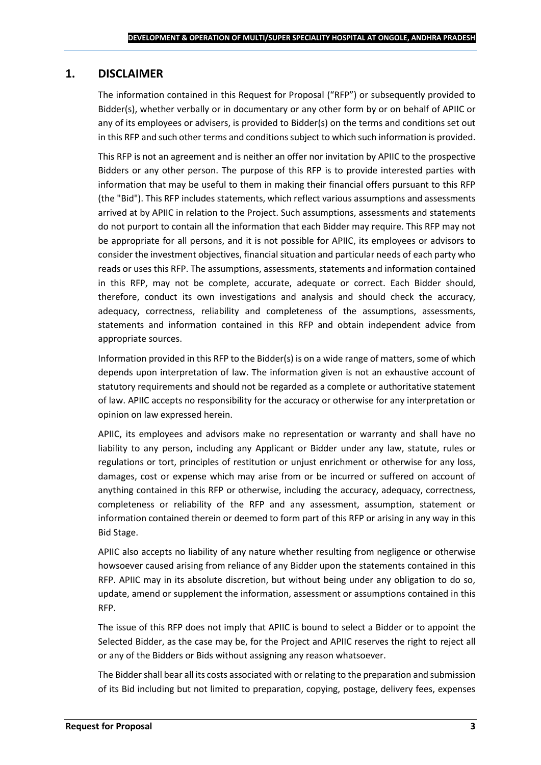### <span id="page-2-0"></span>**1. DISCLAIMER**

The information contained in this Request for Proposal ("RFP") or subsequently provided to Bidder(s), whether verbally or in documentary or any other form by or on behalf of APIIC or any of its employees or advisers, is provided to Bidder(s) on the terms and conditions set out in this RFP and such other terms and conditions subject to which such information is provided.

This RFP is not an agreement and is neither an offer nor invitation by APIIC to the prospective Bidders or any other person. The purpose of this RFP is to provide interested parties with information that may be useful to them in making their financial offers pursuant to this RFP (the "Bid"). This RFP includes statements, which reflect various assumptions and assessments arrived at by APIIC in relation to the Project. Such assumptions, assessments and statements do not purport to contain all the information that each Bidder may require. This RFP may not be appropriate for all persons, and it is not possible for APIIC, its employees or advisors to consider the investment objectives, financial situation and particular needs of each party who reads or uses this RFP. The assumptions, assessments, statements and information contained in this RFP, may not be complete, accurate, adequate or correct. Each Bidder should, therefore, conduct its own investigations and analysis and should check the accuracy, adequacy, correctness, reliability and completeness of the assumptions, assessments, statements and information contained in this RFP and obtain independent advice from appropriate sources.

Information provided in this RFP to the Bidder(s) is on a wide range of matters, some of which depends upon interpretation of law. The information given is not an exhaustive account of statutory requirements and should not be regarded as a complete or authoritative statement of law. APIIC accepts no responsibility for the accuracy or otherwise for any interpretation or opinion on law expressed herein.

APIIC, its employees and advisors make no representation or warranty and shall have no liability to any person, including any Applicant or Bidder under any law, statute, rules or regulations or tort, principles of restitution or unjust enrichment or otherwise for any loss, damages, cost or expense which may arise from or be incurred or suffered on account of anything contained in this RFP or otherwise, including the accuracy, adequacy, correctness, completeness or reliability of the RFP and any assessment, assumption, statement or information contained therein or deemed to form part of this RFP or arising in any way in this Bid Stage.

APIIC also accepts no liability of any nature whether resulting from negligence or otherwise howsoever caused arising from reliance of any Bidder upon the statements contained in this RFP. APIIC may in its absolute discretion, but without being under any obligation to do so, update, amend or supplement the information, assessment or assumptions contained in this RFP.

The issue of this RFP does not imply that APIIC is bound to select a Bidder or to appoint the Selected Bidder, as the case may be, for the Project and APIIC reserves the right to reject all or any of the Bidders or Bids without assigning any reason whatsoever.

The Bidder shall bear all its costs associated with or relating to the preparation and submission of its Bid including but not limited to preparation, copying, postage, delivery fees, expenses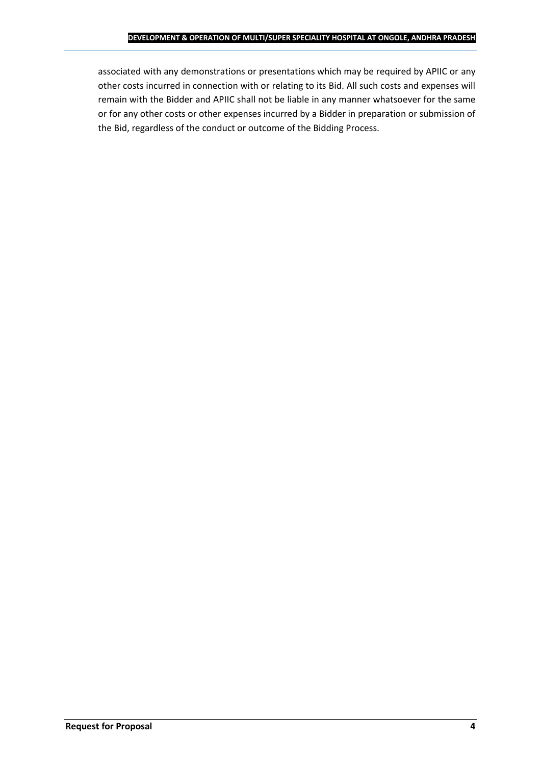associated with any demonstrations or presentations which may be required by APIIC or any other costs incurred in connection with or relating to its Bid. All such costs and expenses will remain with the Bidder and APIIC shall not be liable in any manner whatsoever for the same or for any other costs or other expenses incurred by a Bidder in preparation or submission of the Bid, regardless of the conduct or outcome of the Bidding Process.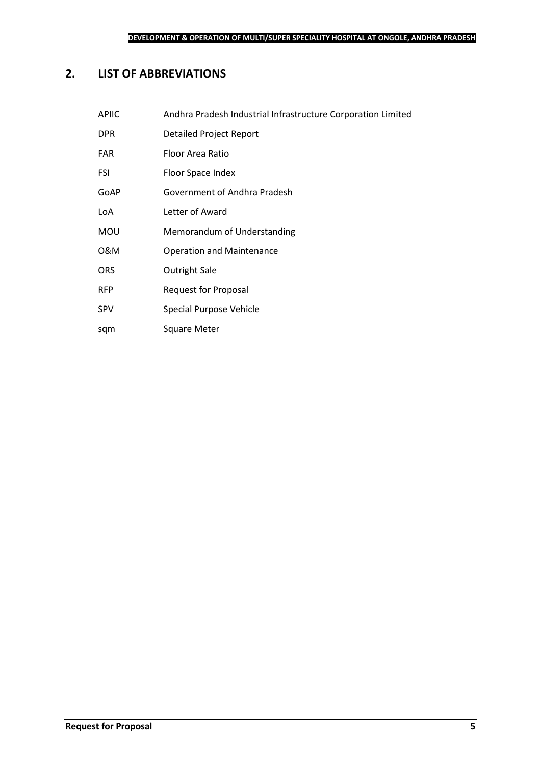## <span id="page-4-0"></span>**2. LIST OF ABBREVIATIONS**

sqm Square Meter

| <b>APIIC</b> | Andhra Pradesh Industrial Infrastructure Corporation Limited |
|--------------|--------------------------------------------------------------|
| <b>DPR</b>   | <b>Detailed Project Report</b>                               |
| <b>FAR</b>   | Floor Area Ratio                                             |
| <b>FSI</b>   | Floor Space Index                                            |
| GoAP         | Government of Andhra Pradesh                                 |
| LoA          | Letter of Award                                              |
| <b>MOU</b>   | Memorandum of Understanding                                  |
| 0&M          | <b>Operation and Maintenance</b>                             |
| <b>ORS</b>   | <b>Outright Sale</b>                                         |
| <b>RFP</b>   | <b>Request for Proposal</b>                                  |
| <b>SPV</b>   | Special Purpose Vehicle                                      |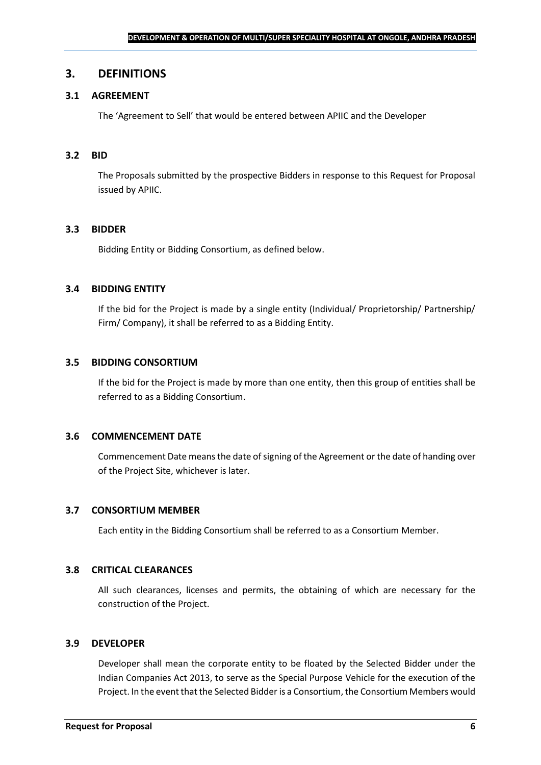### <span id="page-5-0"></span>**3. DEFINITIONS**

### **3.1 AGREEMENT**

The 'Agreement to Sell' that would be entered between APIIC and the Developer

#### **3.2 BID**

The Proposals submitted by the prospective Bidders in response to this Request for Proposal issued by APIIC.

#### **3.3 BIDDER**

Bidding Entity or Bidding Consortium, as defined below.

#### **3.4 BIDDING ENTITY**

If the bid for the Project is made by a single entity (Individual/ Proprietorship/ Partnership/ Firm/ Company), it shall be referred to as a Bidding Entity.

#### **3.5 BIDDING CONSORTIUM**

If the bid for the Project is made by more than one entity, then this group of entities shall be referred to as a Bidding Consortium.

#### **3.6 COMMENCEMENT DATE**

Commencement Date means the date of signing of the Agreement or the date of handing over of the Project Site, whichever is later.

#### **3.7 CONSORTIUM MEMBER**

Each entity in the Bidding Consortium shall be referred to as a Consortium Member.

#### **3.8 CRITICAL CLEARANCES**

All such clearances, licenses and permits, the obtaining of which are necessary for the construction of the Project.

#### **3.9 DEVELOPER**

Developer shall mean the corporate entity to be floated by the Selected Bidder under the Indian Companies Act 2013, to serve as the Special Purpose Vehicle for the execution of the Project. In the event that the Selected Bidder is a Consortium, the Consortium Members would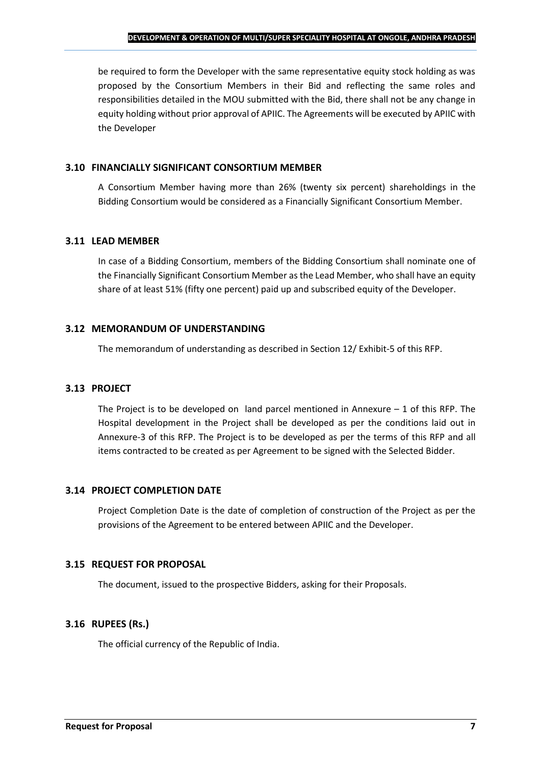be required to form the Developer with the same representative equity stock holding as was proposed by the Consortium Members in their Bid and reflecting the same roles and responsibilities detailed in the MOU submitted with the Bid, there shall not be any change in equity holding without prior approval of APIIC. The Agreements will be executed by APIIC with the Developer

### **3.10 FINANCIALLY SIGNIFICANT CONSORTIUM MEMBER**

A Consortium Member having more than 26% (twenty six percent) shareholdings in the Bidding Consortium would be considered as a Financially Significant Consortium Member.

### **3.11 LEAD MEMBER**

In case of a Bidding Consortium, members of the Bidding Consortium shall nominate one of the Financially Significant Consortium Member as the Lead Member, who shall have an equity share of at least 51% (fifty one percent) paid up and subscribed equity of the Developer.

### **3.12 MEMORANDUM OF UNDERSTANDING**

The memorandum of understanding as described in Section 12/ Exhibit-5 of this RFP.

### **3.13 PROJECT**

The Project is to be developed on land parcel mentioned in Annexure  $-1$  of this RFP. The Hospital development in the Project shall be developed as per the conditions laid out in Annexure-3 of this RFP. The Project is to be developed as per the terms of this RFP and all items contracted to be created as per Agreement to be signed with the Selected Bidder.

### **3.14 PROJECT COMPLETION DATE**

Project Completion Date is the date of completion of construction of the Project as per the provisions of the Agreement to be entered between APIIC and the Developer.

### **3.15 REQUEST FOR PROPOSAL**

The document, issued to the prospective Bidders, asking for their Proposals.

### **3.16 RUPEES (Rs.)**

The official currency of the Republic of India.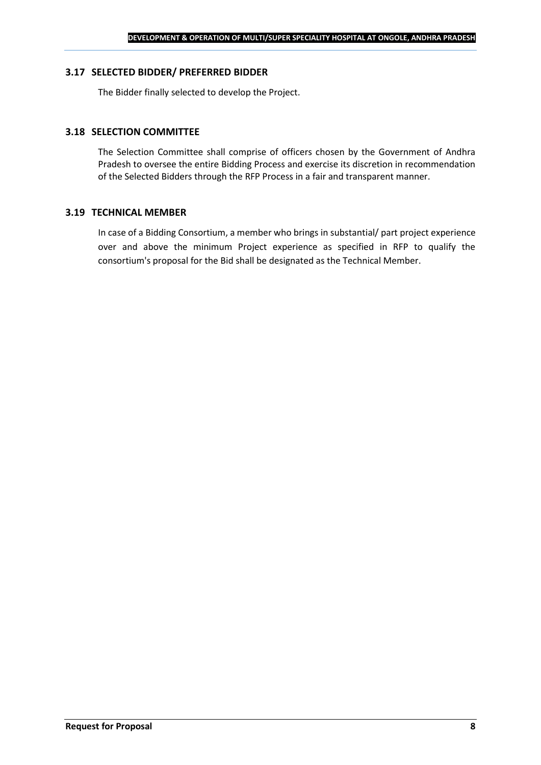#### **3.17 SELECTED BIDDER/ PREFERRED BIDDER**

The Bidder finally selected to develop the Project.

### **3.18 SELECTION COMMITTEE**

The Selection Committee shall comprise of officers chosen by the Government of Andhra Pradesh to oversee the entire Bidding Process and exercise its discretion in recommendation of the Selected Bidders through the RFP Process in a fair and transparent manner.

#### **3.19 TECHNICAL MEMBER**

In case of a Bidding Consortium, a member who brings in substantial/ part project experience over and above the minimum Project experience as specified in RFP to qualify the consortium's proposal for the Bid shall be designated as the Technical Member.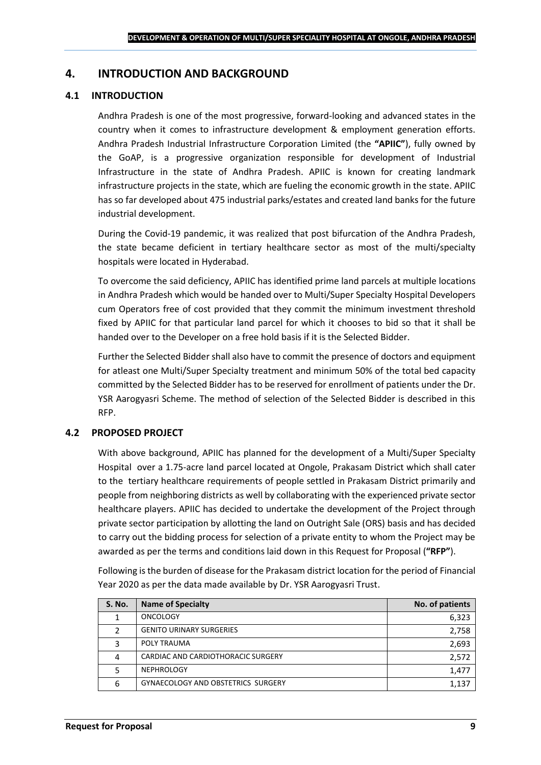### <span id="page-8-0"></span>**4. INTRODUCTION AND BACKGROUND**

#### **4.1 INTRODUCTION**

Andhra Pradesh is one of the most progressive, forward-looking and advanced states in the country when it comes to infrastructure development & employment generation efforts. Andhra Pradesh Industrial Infrastructure Corporation Limited (the **"APIIC"**), fully owned by the GoAP, is a progressive organization responsible for development of Industrial Infrastructure in the state of Andhra Pradesh. APIIC is known for creating landmark infrastructure projects in the state, which are fueling the economic growth in the state. APIIC has so far developed about 475 industrial parks/estates and created land banks for the future industrial development.

During the Covid-19 pandemic, it was realized that post bifurcation of the Andhra Pradesh, the state became deficient in tertiary healthcare sector as most of the multi/specialty hospitals were located in Hyderabad.

To overcome the said deficiency, APIIC has identified prime land parcels at multiple locations in Andhra Pradesh which would be handed over to Multi/Super Specialty Hospital Developers cum Operators free of cost provided that they commit the minimum investment threshold fixed by APIIC for that particular land parcel for which it chooses to bid so that it shall be handed over to the Developer on a free hold basis if it is the Selected Bidder.

Further the Selected Bidder shall also have to commit the presence of doctors and equipment for atleast one Multi/Super Specialty treatment and minimum 50% of the total bed capacity committed by the Selected Bidder has to be reserved for enrollment of patients under the Dr. YSR Aarogyasri Scheme. The method of selection of the Selected Bidder is described in this RFP.

#### **4.2 PROPOSED PROJECT**

With above background, APIIC has planned for the development of a Multi/Super Specialty Hospital over a 1.75-acre land parcel located at Ongole, Prakasam District which shall cater to the tertiary healthcare requirements of people settled in Prakasam District primarily and people from neighboring districts as well by collaborating with the experienced private sector healthcare players. APIIC has decided to undertake the development of the Project through private sector participation by allotting the land on Outright Sale (ORS) basis and has decided to carry out the bidding process for selection of a private entity to whom the Project may be awarded as per the terms and conditions laid down in this Request for Proposal (**"RFP"**).

Following is the burden of disease for the Prakasam district location for the period of Financial Year 2020 as per the data made available by Dr. YSR Aarogyasri Trust.

| <b>S. No.</b> | <b>Name of Specialty</b>           | No. of patients |
|---------------|------------------------------------|-----------------|
|               | <b>ONCOLOGY</b>                    | 6,323           |
|               | <b>GENITO URINARY SURGERIES</b>    | 2,758           |
|               | POLY TRAUMA                        | 2,693           |
|               | CARDIAC AND CARDIOTHORACIC SURGERY | 2,572           |
|               | <b>NEPHROLOGY</b>                  | 1,477           |
| 6             | GYNAECOLOGY AND OBSTETRICS SURGERY | 1,137           |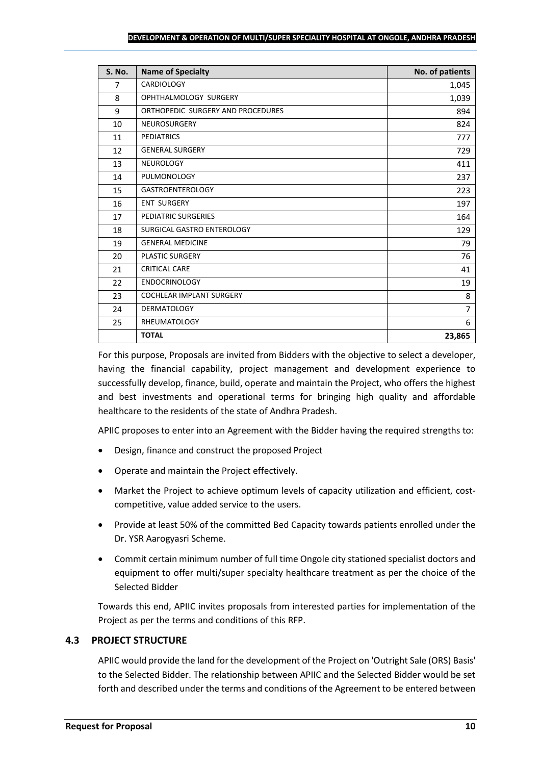#### **DEVELOPMENT & OPERATION OF MULTI/SUPER SPECIALITY HOSPITAL AT ONGOLE, ANDHRA PRADESH**

| <b>S. No.</b> | <b>Name of Specialty</b>          | No. of patients |
|---------------|-----------------------------------|-----------------|
| 7             | <b>CARDIOLOGY</b>                 | 1,045           |
| 8             | OPHTHALMOLOGY SURGERY             | 1,039           |
| 9             | ORTHOPEDIC SURGERY AND PROCEDURES | 894             |
| 10            | <b>NEUROSURGERY</b>               | 824             |
| 11            | <b>PEDIATRICS</b>                 | 777             |
| 12            | <b>GENERAL SURGERY</b>            | 729             |
| 13            | <b>NEUROLOGY</b>                  | 411             |
| 14            | PULMONOLOGY                       | 237             |
| 15            | <b>GASTROENTEROLOGY</b>           | 223             |
| 16            | <b>ENT SURGERY</b>                | 197             |
| 17            | PEDIATRIC SURGERIES               | 164             |
| 18            | SURGICAL GASTRO ENTEROLOGY        | 129             |
| 19            | <b>GENERAL MEDICINE</b>           | 79              |
| 20            | <b>PLASTIC SURGERY</b>            | 76              |
| 21            | <b>CRITICAL CARE</b>              | 41              |
| 22            | <b>ENDOCRINOLOGY</b>              | 19              |
| 23            | COCHLEAR IMPLANT SURGERY          | 8               |
| 24            | <b>DERMATOLOGY</b>                | $\overline{7}$  |
| 25            | <b>RHEUMATOLOGY</b>               | 6               |
|               | <b>TOTAL</b>                      | 23,865          |

For this purpose, Proposals are invited from Bidders with the objective to select a developer, having the financial capability, project management and development experience to successfully develop, finance, build, operate and maintain the Project, who offers the highest and best investments and operational terms for bringing high quality and affordable healthcare to the residents of the state of Andhra Pradesh.

APIIC proposes to enter into an Agreement with the Bidder having the required strengths to:

- Design, finance and construct the proposed Project
- Operate and maintain the Project effectively.
- Market the Project to achieve optimum levels of capacity utilization and efficient, costcompetitive, value added service to the users.
- Provide at least 50% of the committed Bed Capacity towards patients enrolled under the Dr. YSR Aarogyasri Scheme.
- Commit certain minimum number of full time Ongole city stationed specialist doctors and equipment to offer multi/super specialty healthcare treatment as per the choice of the Selected Bidder

Towards this end, APIIC invites proposals from interested parties for implementation of the Project as per the terms and conditions of this RFP.

### **4.3 PROJECT STRUCTURE**

APIIC would provide the land for the development of the Project on 'Outright Sale (ORS) Basis' to the Selected Bidder. The relationship between APIIC and the Selected Bidder would be set forth and described under the terms and conditions of the Agreement to be entered between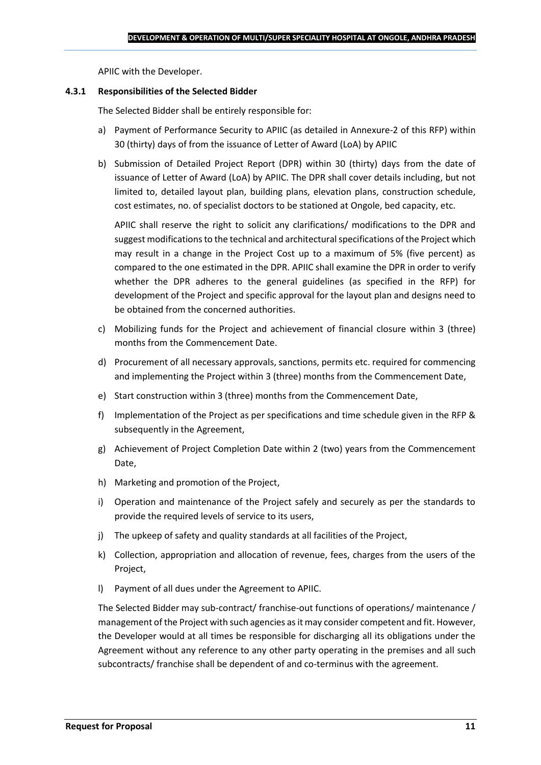APIIC with the Developer.

#### **4.3.1 Responsibilities of the Selected Bidder**

The Selected Bidder shall be entirely responsible for:

- a) Payment of Performance Security to APIIC (as detailed in Annexure-2 of this RFP) within 30 (thirty) days of from the issuance of Letter of Award (LoA) by APIIC
- b) Submission of Detailed Project Report (DPR) within 30 (thirty) days from the date of issuance of Letter of Award (LoA) by APIIC. The DPR shall cover details including, but not limited to, detailed layout plan, building plans, elevation plans, construction schedule, cost estimates, no. of specialist doctors to be stationed at Ongole, bed capacity, etc.

APIIC shall reserve the right to solicit any clarifications/ modifications to the DPR and suggest modifications to the technical and architectural specifications of the Project which may result in a change in the Project Cost up to a maximum of 5% (five percent) as compared to the one estimated in the DPR. APIIC shall examine the DPR in order to verify whether the DPR adheres to the general guidelines (as specified in the RFP) for development of the Project and specific approval for the layout plan and designs need to be obtained from the concerned authorities.

- c) Mobilizing funds for the Project and achievement of financial closure within 3 (three) months from the Commencement Date.
- d) Procurement of all necessary approvals, sanctions, permits etc. required for commencing and implementing the Project within 3 (three) months from the Commencement Date,
- e) Start construction within 3 (three) months from the Commencement Date,
- f) Implementation of the Project as per specifications and time schedule given in the RFP & subsequently in the Agreement,
- g) Achievement of Project Completion Date within 2 (two) years from the Commencement Date,
- h) Marketing and promotion of the Project,
- i) Operation and maintenance of the Project safely and securely as per the standards to provide the required levels of service to its users,
- j) The upkeep of safety and quality standards at all facilities of the Project,
- k) Collection, appropriation and allocation of revenue, fees, charges from the users of the Project,
- l) Payment of all dues under the Agreement to APIIC.

The Selected Bidder may sub-contract/ franchise-out functions of operations/ maintenance / management of the Project with such agencies as it may consider competent and fit. However, the Developer would at all times be responsible for discharging all its obligations under the Agreement without any reference to any other party operating in the premises and all such subcontracts/ franchise shall be dependent of and co-terminus with the agreement.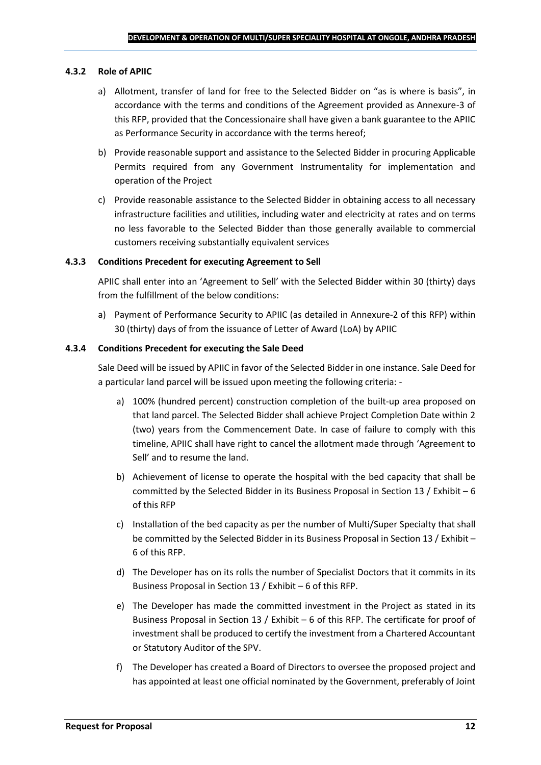#### **4.3.2 Role of APIIC**

- a) Allotment, transfer of land for free to the Selected Bidder on "as is where is basis", in accordance with the terms and conditions of the Agreement provided as Annexure-3 of this RFP, provided that the Concessionaire shall have given a bank guarantee to the APIIC as Performance Security in accordance with the terms hereof;
- b) Provide reasonable support and assistance to the Selected Bidder in procuring Applicable Permits required from any Government Instrumentality for implementation and operation of the Project
- c) Provide reasonable assistance to the Selected Bidder in obtaining access to all necessary infrastructure facilities and utilities, including water and electricity at rates and on terms no less favorable to the Selected Bidder than those generally available to commercial customers receiving substantially equivalent services

#### **4.3.3 Conditions Precedent for executing Agreement to Sell**

APIIC shall enter into an 'Agreement to Sell' with the Selected Bidder within 30 (thirty) days from the fulfillment of the below conditions:

a) Payment of Performance Security to APIIC (as detailed in Annexure-2 of this RFP) within 30 (thirty) days of from the issuance of Letter of Award (LoA) by APIIC

#### **4.3.4 Conditions Precedent for executing the Sale Deed**

Sale Deed will be issued by APIIC in favor of the Selected Bidder in one instance. Sale Deed for a particular land parcel will be issued upon meeting the following criteria: -

- a) 100% (hundred percent) construction completion of the built-up area proposed on that land parcel. The Selected Bidder shall achieve Project Completion Date within 2 (two) years from the Commencement Date. In case of failure to comply with this timeline, APIIC shall have right to cancel the allotment made through 'Agreement to Sell' and to resume the land.
- b) Achievement of license to operate the hospital with the bed capacity that shall be committed by the Selected Bidder in its Business Proposal in Section 13 / Exhibit – 6 of this RFP
- c) Installation of the bed capacity as per the number of Multi/Super Specialty that shall be committed by the Selected Bidder in its Business Proposal in Section 13 / Exhibit – 6 of this RFP.
- d) The Developer has on its rolls the number of Specialist Doctors that it commits in its Business Proposal in Section 13 / Exhibit – 6 of this RFP.
- e) The Developer has made the committed investment in the Project as stated in its Business Proposal in Section 13 / Exhibit – 6 of this RFP. The certificate for proof of investment shall be produced to certify the investment from a Chartered Accountant or Statutory Auditor of the SPV.
- f) The Developer has created a Board of Directors to oversee the proposed project and has appointed at least one official nominated by the Government, preferably of Joint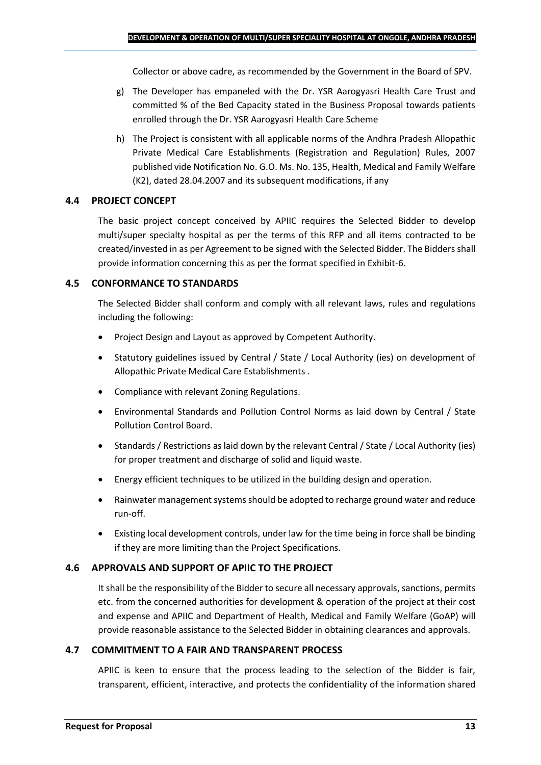Collector or above cadre, as recommended by the Government in the Board of SPV.

- g) The Developer has empaneled with the Dr. YSR Aarogyasri Health Care Trust and committed % of the Bed Capacity stated in the Business Proposal towards patients enrolled through the Dr. YSR Aarogyasri Health Care Scheme
- h) The Project is consistent with all applicable norms of the Andhra Pradesh Allopathic Private Medical Care Establishments (Registration and Regulation) Rules, 2007 published vide Notification No. G.O. Ms. No. 135, Health, Medical and Family Welfare (K2), dated 28.04.2007 and its subsequent modifications, if any

### **4.4 PROJECT CONCEPT**

The basic project concept conceived by APIIC requires the Selected Bidder to develop multi/super specialty hospital as per the terms of this RFP and all items contracted to be created/invested in as per Agreement to be signed with the Selected Bidder. The Bidders shall provide information concerning this as per the format specified in Exhibit-6.

### **4.5 CONFORMANCE TO STANDARDS**

The Selected Bidder shall conform and comply with all relevant laws, rules and regulations including the following:

- Project Design and Layout as approved by Competent Authority.
- Statutory guidelines issued by Central / State / Local Authority (ies) on development of Allopathic Private Medical Care Establishments .
- Compliance with relevant Zoning Regulations.
- Environmental Standards and Pollution Control Norms as laid down by Central / State Pollution Control Board.
- Standards / Restrictions as laid down by the relevant Central / State / Local Authority (ies) for proper treatment and discharge of solid and liquid waste.
- Energy efficient techniques to be utilized in the building design and operation.
- Rainwater management systems should be adopted to recharge ground water and reduce run-off.
- Existing local development controls, under law for the time being in force shall be binding if they are more limiting than the Project Specifications.

### **4.6 APPROVALS AND SUPPORT OF APIIC TO THE PROJECT**

It shall be the responsibility of the Bidder to secure all necessary approvals, sanctions, permits etc. from the concerned authorities for development & operation of the project at their cost and expense and APIIC and Department of Health, Medical and Family Welfare (GoAP) will provide reasonable assistance to the Selected Bidder in obtaining clearances and approvals.

#### **4.7 COMMITMENT TO A FAIR AND TRANSPARENT PROCESS**

APIIC is keen to ensure that the process leading to the selection of the Bidder is fair, transparent, efficient, interactive, and protects the confidentiality of the information shared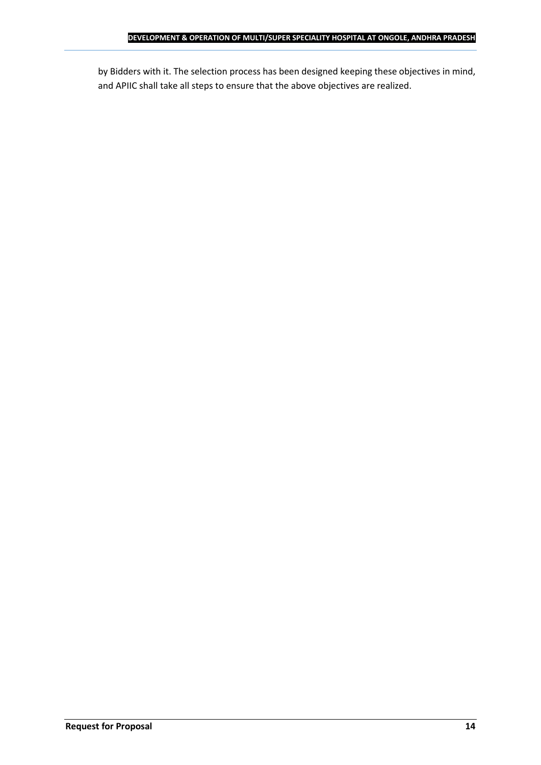by Bidders with it. The selection process has been designed keeping these objectives in mind, and APIIC shall take all steps to ensure that the above objectives are realized.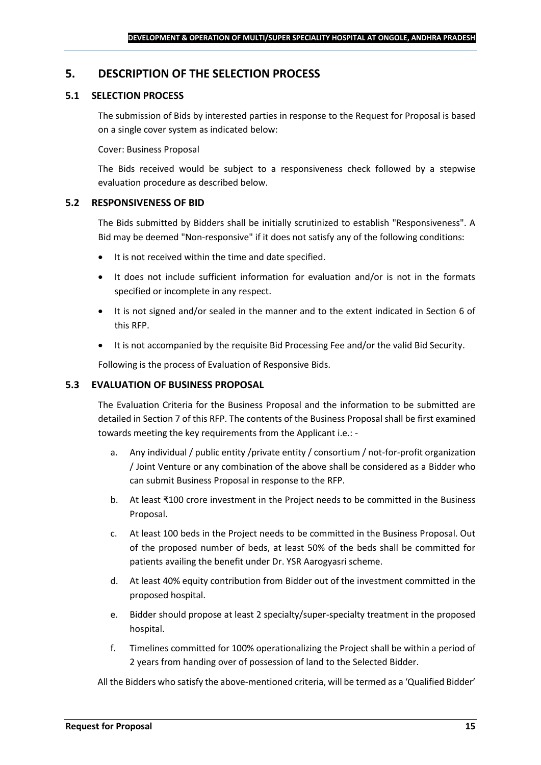### <span id="page-14-0"></span>**5. DESCRIPTION OF THE SELECTION PROCESS**

### **5.1 SELECTION PROCESS**

The submission of Bids by interested parties in response to the Request for Proposal is based on a single cover system as indicated below:

#### Cover: Business Proposal

The Bids received would be subject to a responsiveness check followed by a stepwise evaluation procedure as described below.

#### **5.2 RESPONSIVENESS OF BID**

The Bids submitted by Bidders shall be initially scrutinized to establish "Responsiveness". A Bid may be deemed "Non-responsive" if it does not satisfy any of the following conditions:

- It is not received within the time and date specified.
- It does not include sufficient information for evaluation and/or is not in the formats specified or incomplete in any respect.
- It is not signed and/or sealed in the manner and to the extent indicated in Section 6 of this RFP.
- It is not accompanied by the requisite Bid Processing Fee and/or the valid Bid Security.

Following is the process of Evaluation of Responsive Bids.

### **5.3 EVALUATION OF BUSINESS PROPOSAL**

The Evaluation Criteria for the Business Proposal and the information to be submitted are detailed in Section 7 of this RFP. The contents of the Business Proposal shall be first examined towards meeting the key requirements from the Applicant i.e.: -

- a. Any individual / public entity / private entity / consortium / not-for-profit organization / Joint Venture or any combination of the above shall be considered as a Bidder who can submit Business Proposal in response to the RFP.
- b. At least ₹100 crore investment in the Project needs to be committed in the Business Proposal.
- c. At least 100 beds in the Project needs to be committed in the Business Proposal. Out of the proposed number of beds, at least 50% of the beds shall be committed for patients availing the benefit under Dr. YSR Aarogyasri scheme.
- d. At least 40% equity contribution from Bidder out of the investment committed in the proposed hospital.
- e. Bidder should propose at least 2 specialty/super-specialty treatment in the proposed hospital.
- f. Timelines committed for 100% operationalizing the Project shall be within a period of 2 years from handing over of possession of land to the Selected Bidder.

All the Bidders who satisfy the above-mentioned criteria, will be termed as a 'Qualified Bidder'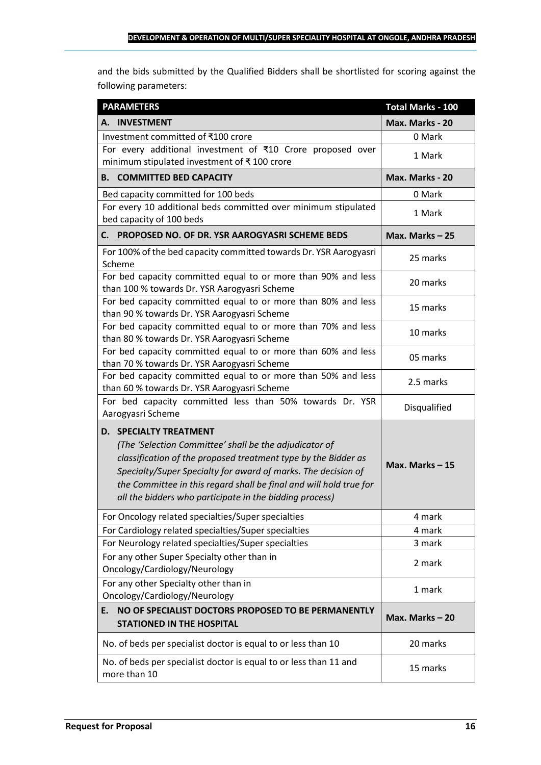and the bids submitted by the Qualified Bidders shall be shortlisted for scoring against the following parameters:

| <b>PARAMETERS</b>                                                                                                                                                                                                                                                                                                                                           | <b>Total Marks - 100</b> |
|-------------------------------------------------------------------------------------------------------------------------------------------------------------------------------------------------------------------------------------------------------------------------------------------------------------------------------------------------------------|--------------------------|
| A. INVESTMENT                                                                                                                                                                                                                                                                                                                                               | Max. Marks - 20          |
| Investment committed of ₹100 crore                                                                                                                                                                                                                                                                                                                          | 0 Mark                   |
| For every additional investment of ₹10 Crore proposed over<br>minimum stipulated investment of ₹100 crore                                                                                                                                                                                                                                                   | 1 Mark                   |
| <b>B. COMMITTED BED CAPACITY</b>                                                                                                                                                                                                                                                                                                                            | Max. Marks - 20          |
| Bed capacity committed for 100 beds                                                                                                                                                                                                                                                                                                                         | 0 Mark                   |
| For every 10 additional beds committed over minimum stipulated<br>bed capacity of 100 beds                                                                                                                                                                                                                                                                  | 1 Mark                   |
| C. PROPOSED NO. OF DR. YSR AAROGYASRI SCHEME BEDS                                                                                                                                                                                                                                                                                                           | Max. Marks $-25$         |
| For 100% of the bed capacity committed towards Dr. YSR Aarogyasri<br>Scheme                                                                                                                                                                                                                                                                                 | 25 marks                 |
| For bed capacity committed equal to or more than 90% and less<br>than 100 % towards Dr. YSR Aarogyasri Scheme                                                                                                                                                                                                                                               | 20 marks                 |
| For bed capacity committed equal to or more than 80% and less<br>than 90 % towards Dr. YSR Aarogyasri Scheme                                                                                                                                                                                                                                                | 15 marks                 |
| For bed capacity committed equal to or more than 70% and less<br>than 80 % towards Dr. YSR Aarogyasri Scheme                                                                                                                                                                                                                                                | 10 marks                 |
| For bed capacity committed equal to or more than 60% and less<br>than 70 % towards Dr. YSR Aarogyasri Scheme                                                                                                                                                                                                                                                | 05 marks                 |
| For bed capacity committed equal to or more than 50% and less<br>than 60 % towards Dr. YSR Aarogyasri Scheme                                                                                                                                                                                                                                                | 2.5 marks                |
| For bed capacity committed less than 50% towards Dr. YSR<br>Aarogyasri Scheme                                                                                                                                                                                                                                                                               | Disqualified             |
| <b>D. SPECIALTY TREATMENT</b><br>(The 'Selection Committee' shall be the adjudicator of<br>classification of the proposed treatment type by the Bidder as<br>Specialty/Super Specialty for award of marks. The decision of<br>the Committee in this regard shall be final and will hold true for<br>all the bidders who participate in the bidding process) | Max. Marks-15            |
| For Oncology related specialties/Super specialties                                                                                                                                                                                                                                                                                                          | 4 mark                   |
| For Cardiology related specialties/Super specialties                                                                                                                                                                                                                                                                                                        | 4 mark                   |
| For Neurology related specialties/Super specialties                                                                                                                                                                                                                                                                                                         | 3 mark                   |
| For any other Super Specialty other than in<br>Oncology/Cardiology/Neurology                                                                                                                                                                                                                                                                                | 2 mark                   |
| For any other Specialty other than in<br>Oncology/Cardiology/Neurology                                                                                                                                                                                                                                                                                      | 1 mark                   |
| NO OF SPECIALIST DOCTORS PROPOSED TO BE PERMANENTLY<br>E.<br><b>STATIONED IN THE HOSPITAL</b>                                                                                                                                                                                                                                                               | Max. Marks-20            |
| No. of beds per specialist doctor is equal to or less than 10                                                                                                                                                                                                                                                                                               | 20 marks                 |
| No. of beds per specialist doctor is equal to or less than 11 and<br>more than 10                                                                                                                                                                                                                                                                           | 15 marks                 |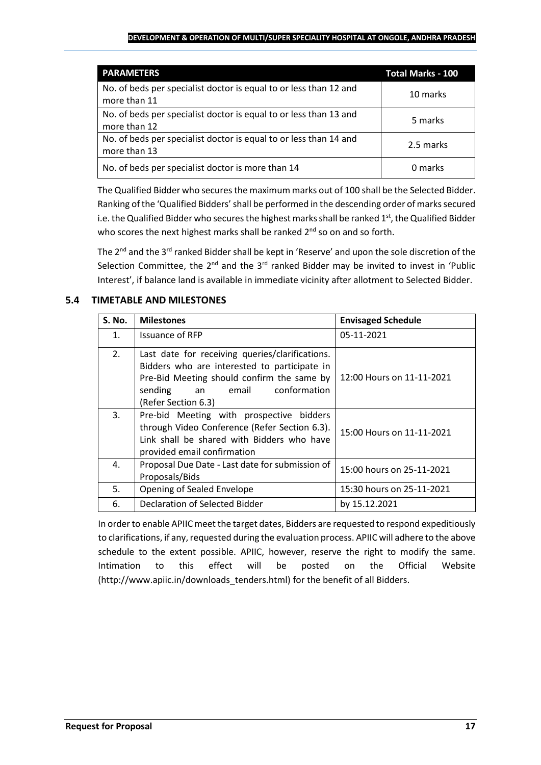#### **DEVELOPMENT & OPERATION OF MULTI/SUPER SPECIALITY HOSPITAL AT ONGOLE, ANDHRA PRADESH**

| <b>PARAMETERS</b>                                                                 | <b>Total Marks - 100</b> |
|-----------------------------------------------------------------------------------|--------------------------|
| No. of beds per specialist doctor is equal to or less than 12 and<br>more than 11 | 10 marks                 |
| No. of beds per specialist doctor is equal to or less than 13 and<br>more than 12 | 5 marks                  |
| No. of beds per specialist doctor is equal to or less than 14 and<br>more than 13 | 2.5 marks                |
| No. of beds per specialist doctor is more than 14                                 | 0 marks                  |

The Qualified Bidder who securesthe maximum marks out of 100 shall be the Selected Bidder. Ranking of the 'Qualified Bidders'shall be performed in the descending order of marks secured i.e. the Qualified Bidder who secures the highest marks shall be ranked  $1<sup>st</sup>$ , the Qualified Bidder who scores the next highest marks shall be ranked  $2^{nd}$  so on and so forth.

The 2<sup>nd</sup> and the 3<sup>rd</sup> ranked Bidder shall be kept in 'Reserve' and upon the sole discretion of the Selection Committee, the  $2^{nd}$  and the  $3^{rd}$  ranked Bidder may be invited to invest in 'Public Interest', if balance land is available in immediate vicinity after allotment to Selected Bidder.

### **5.4 TIMETABLE AND MILESTONES**

| <b>S. No.</b>  | <b>Milestones</b>                                                                                                                                                                                              | <b>Envisaged Schedule</b> |
|----------------|----------------------------------------------------------------------------------------------------------------------------------------------------------------------------------------------------------------|---------------------------|
| $\mathbf{1}$ . | <b>Issuance of RFP</b>                                                                                                                                                                                         | 05-11-2021                |
| 2.             | Last date for receiving queries/clarifications.<br>Bidders who are interested to participate in<br>Pre-Bid Meeting should confirm the same by<br>conformation<br>sending<br>email<br>an<br>(Refer Section 6.3) | 12:00 Hours on 11-11-2021 |
| 3.             | Pre-bid Meeting with prospective bidders<br>through Video Conference (Refer Section 6.3).<br>Link shall be shared with Bidders who have<br>provided email confirmation                                         | 15:00 Hours on 11-11-2021 |
| 4.             | Proposal Due Date - Last date for submission of<br>Proposals/Bids                                                                                                                                              | 15:00 hours on 25-11-2021 |
| 5.             | Opening of Sealed Envelope                                                                                                                                                                                     | 15:30 hours on 25-11-2021 |
| 6.             | Declaration of Selected Bidder                                                                                                                                                                                 | by 15.12.2021             |

In order to enable APIIC meet the target dates, Bidders are requested to respond expeditiously to clarifications, if any, requested during the evaluation process. APIIC will adhere to the above schedule to the extent possible. APIIC, however, reserve the right to modify the same. Intimation to this effect will be posted on the Official Website (http://www.apiic.in/downloads\_tenders.html) for the benefit of all Bidders.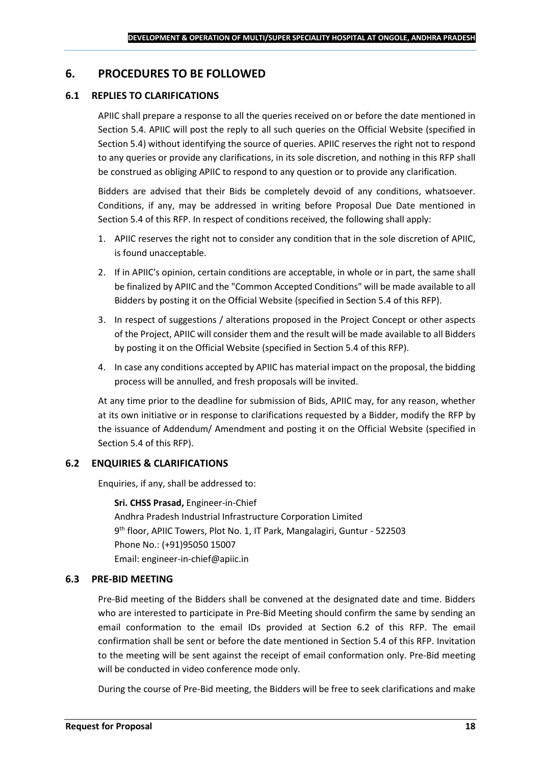### <span id="page-17-0"></span>**6. PROCEDURES TO BE FOLLOWED**

#### **6.1 REPLIES TO CLARIFICATIONS**

APIIC shall prepare a response to all the queries received on or before the date mentioned in Section 5.4. APIIC will post the reply to all such queries on the Official Website (specified in Section 5.4) without identifying the source of queries. APIIC reserves the right not to respond to any queries or provide any clarifications, in its sole discretion, and nothing in this RFP shall be construed as obliging APIIC to respond to any question or to provide any clarification.

Bidders are advised that their Bids be completely devoid of any conditions, whatsoever. Conditions, if any, may be addressed in writing before Proposal Due Date mentioned in Section 5.4 of this RFP. In respect of conditions received, the following shall apply:

- 1. APIIC reserves the right not to consider any condition that in the sole discretion of APIIC, is found unacceptable.
- 2. If in APIIC's opinion, certain conditions are acceptable, in whole or in part, the same shall be finalized by APIIC and the "Common Accepted Conditions" will be made available to all Bidders by posting it on the Official Website (specified in Section 5.4 of this RFP).
- 3. In respect of suggestions / alterations proposed in the Project Concept or other aspects of the Project, APIIC will consider them and the result will be made available to all Bidders by posting it on the Official Website (specified in Section 5.4 of this RFP).
- 4. In case any conditions accepted by APIIC has material impact on the proposal, the bidding process will be annulled, and fresh proposals will be invited.

At any time prior to the deadline for submission of Bids, APIIC may, for any reason, whether at its own initiative or in response to clarifications requested by a Bidder, modify the RFP by the issuance of Addendum/ Amendment and posting it on the Official Website (specified in Section 5.4 of this RFP).

#### **6.2 ENQUIRIES & CLARIFICATIONS**

Enquiries, if any, shall be addressed to:

**Sri. CHSS Prasad,** Engineer-in-Chief Andhra Pradesh Industrial Infrastructure Corporation Limited 9 th floor, APIIC Towers, Plot No. 1, IT Park, Mangalagiri, Guntur - 522503 Phone No.: (+91)95050 15007 Email: engineer-in-chief@apiic.in

#### **6.3 PRE-BID MEETING**

Pre-Bid meeting of the Bidders shall be convened at the designated date and time. Bidders who are interested to participate in Pre-Bid Meeting should confirm the same by sending an email conformation to the email IDs provided at Section 6.2 of this RFP. The email confirmation shall be sent or before the date mentioned in Section 5.4 of this RFP. Invitation to the meeting will be sent against the receipt of email conformation only. Pre-Bid meeting will be conducted in video conference mode only.

During the course of Pre-Bid meeting, the Bidders will be free to seek clarifications and make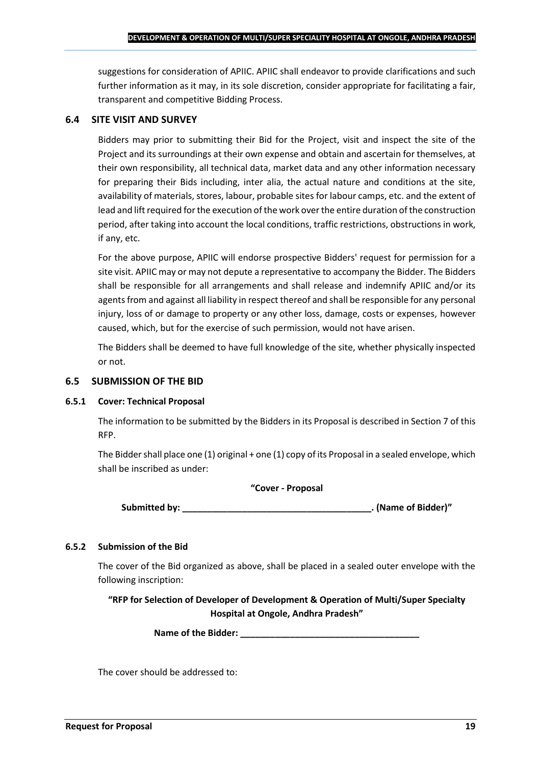suggestions for consideration of APIIC. APIIC shall endeavor to provide clarifications and such further information as it may, in its sole discretion, consider appropriate for facilitating a fair, transparent and competitive Bidding Process.

### **6.4 SITE VISIT AND SURVEY**

Bidders may prior to submitting their Bid for the Project, visit and inspect the site of the Project and its surroundings at their own expense and obtain and ascertain for themselves, at their own responsibility, all technical data, market data and any other information necessary for preparing their Bids including, inter alia, the actual nature and conditions at the site, availability of materials, stores, labour, probable sites for labour camps, etc. and the extent of lead and lift required for the execution of the work over the entire duration of the construction period, after taking into account the local conditions, traffic restrictions, obstructions in work, if any, etc.

For the above purpose, APIIC will endorse prospective Bidders' request for permission for a site visit. APIIC may or may not depute a representative to accompany the Bidder. The Bidders shall be responsible for all arrangements and shall release and indemnify APIIC and/or its agents from and against all liability in respect thereof and shall be responsible for any personal injury, loss of or damage to property or any other loss, damage, costs or expenses, however caused, which, but for the exercise of such permission, would not have arisen.

The Bidders shall be deemed to have full knowledge of the site, whether physically inspected or not.

### **6.5 SUBMISSION OF THE BID**

#### **6.5.1 Cover: Technical Proposal**

The information to be submitted by the Bidders in its Proposal is described in Section 7 of this RFP.

The Bidder shall place one (1) original + one (1) copy of its Proposal in a sealed envelope, which shall be inscribed as under:

#### **"Cover - Proposal**

**Submitted by: \_\_\_\_\_\_\_\_\_\_\_\_\_\_\_\_\_\_\_\_\_\_\_\_\_\_\_\_\_\_\_\_\_\_\_\_\_\_. (Name of Bidder)"**

### **6.5.2 Submission of the Bid**

The cover of the Bid organized as above, shall be placed in a sealed outer envelope with the following inscription:

**"RFP for Selection of Developer of Development & Operation of Multi/Super Specialty Hospital at Ongole, Andhra Pradesh"**

Name of the Bidder: **We are also assumed to the Bidder:** 

The cover should be addressed to: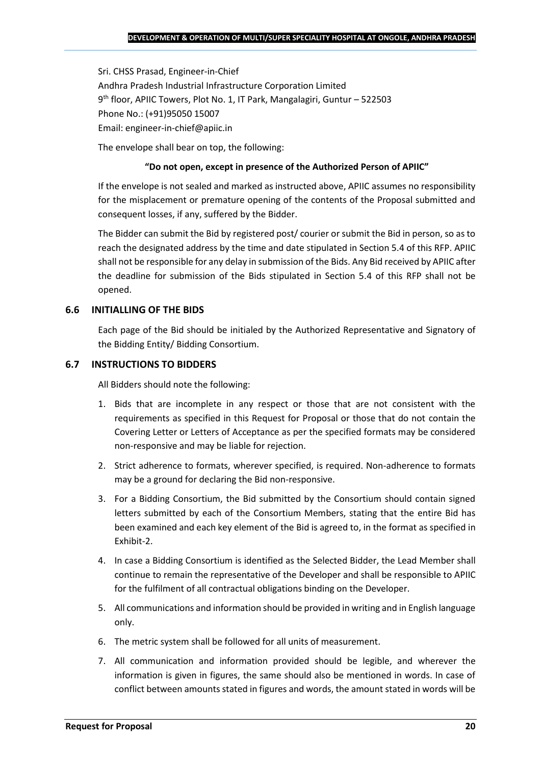Sri. CHSS Prasad, Engineer-in-Chief Andhra Pradesh Industrial Infrastructure Corporation Limited 9 th floor, APIIC Towers, Plot No. 1, IT Park, Mangalagiri, Guntur – 522503 Phone No.: (+91)95050 15007 Email: engineer-in-chief@apiic.in

The envelope shall bear on top, the following:

### **"Do not open, except in presence of the Authorized Person of APIIC"**

If the envelope is not sealed and marked as instructed above, APIIC assumes no responsibility for the misplacement or premature opening of the contents of the Proposal submitted and consequent losses, if any, suffered by the Bidder.

The Bidder can submit the Bid by registered post/ courier or submit the Bid in person, so as to reach the designated address by the time and date stipulated in Section 5.4 of this RFP. APIIC shall not be responsible for any delay in submission of the Bids. Any Bid received by APIIC after the deadline for submission of the Bids stipulated in Section 5.4 of this RFP shall not be opened.

### **6.6 INITIALLING OF THE BIDS**

Each page of the Bid should be initialed by the Authorized Representative and Signatory of the Bidding Entity/ Bidding Consortium.

### **6.7 INSTRUCTIONS TO BIDDERS**

All Bidders should note the following:

- 1. Bids that are incomplete in any respect or those that are not consistent with the requirements as specified in this Request for Proposal or those that do not contain the Covering Letter or Letters of Acceptance as per the specified formats may be considered non-responsive and may be liable for rejection.
- 2. Strict adherence to formats, wherever specified, is required. Non-adherence to formats may be a ground for declaring the Bid non-responsive.
- 3. For a Bidding Consortium, the Bid submitted by the Consortium should contain signed letters submitted by each of the Consortium Members, stating that the entire Bid has been examined and each key element of the Bid is agreed to, in the format as specified in Exhibit-2.
- 4. In case a Bidding Consortium is identified as the Selected Bidder, the Lead Member shall continue to remain the representative of the Developer and shall be responsible to APIIC for the fulfilment of all contractual obligations binding on the Developer.
- 5. All communications and information should be provided in writing and in English language only.
- 6. The metric system shall be followed for all units of measurement.
- 7. All communication and information provided should be legible, and wherever the information is given in figures, the same should also be mentioned in words. In case of conflict between amounts stated in figures and words, the amount stated in words will be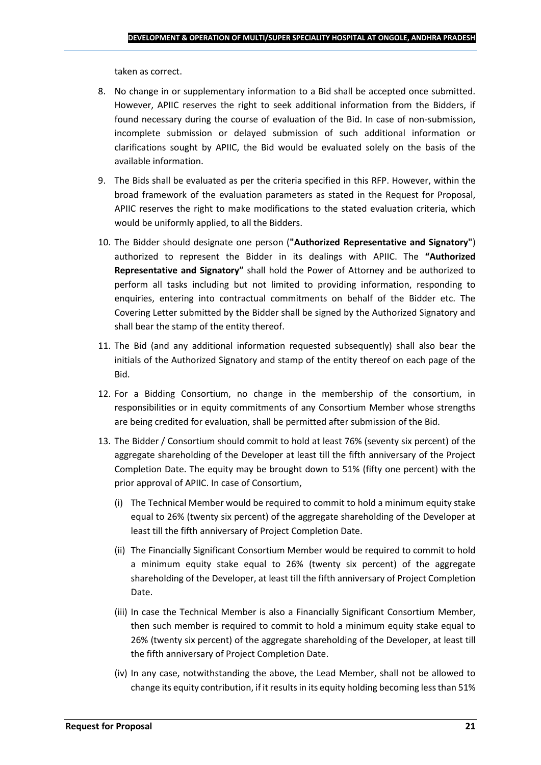taken as correct.

- 8. No change in or supplementary information to a Bid shall be accepted once submitted. However, APIIC reserves the right to seek additional information from the Bidders, if found necessary during the course of evaluation of the Bid. In case of non-submission, incomplete submission or delayed submission of such additional information or clarifications sought by APIIC, the Bid would be evaluated solely on the basis of the available information.
- 9. The Bids shall be evaluated as per the criteria specified in this RFP. However, within the broad framework of the evaluation parameters as stated in the Request for Proposal, APIIC reserves the right to make modifications to the stated evaluation criteria, which would be uniformly applied, to all the Bidders.
- 10. The Bidder should designate one person (**"Authorized Representative and Signatory"**) authorized to represent the Bidder in its dealings with APIIC. The **"Authorized Representative and Signatory"** shall hold the Power of Attorney and be authorized to perform all tasks including but not limited to providing information, responding to enquiries, entering into contractual commitments on behalf of the Bidder etc. The Covering Letter submitted by the Bidder shall be signed by the Authorized Signatory and shall bear the stamp of the entity thereof.
- 11. The Bid (and any additional information requested subsequently) shall also bear the initials of the Authorized Signatory and stamp of the entity thereof on each page of the Bid.
- 12. For a Bidding Consortium, no change in the membership of the consortium, in responsibilities or in equity commitments of any Consortium Member whose strengths are being credited for evaluation, shall be permitted after submission of the Bid.
- 13. The Bidder / Consortium should commit to hold at least 76% (seventy six percent) of the aggregate shareholding of the Developer at least till the fifth anniversary of the Project Completion Date. The equity may be brought down to 51% (fifty one percent) with the prior approval of APIIC. In case of Consortium,
	- (i) The Technical Member would be required to commit to hold a minimum equity stake equal to 26% (twenty six percent) of the aggregate shareholding of the Developer at least till the fifth anniversary of Project Completion Date.
	- (ii) The Financially Significant Consortium Member would be required to commit to hold a minimum equity stake equal to 26% (twenty six percent) of the aggregate shareholding of the Developer, at least till the fifth anniversary of Project Completion Date.
	- (iii) In case the Technical Member is also a Financially Significant Consortium Member, then such member is required to commit to hold a minimum equity stake equal to 26% (twenty six percent) of the aggregate shareholding of the Developer, at least till the fifth anniversary of Project Completion Date.
	- (iv) In any case, notwithstanding the above, the Lead Member, shall not be allowed to change its equity contribution, if it results in its equity holding becoming less than 51%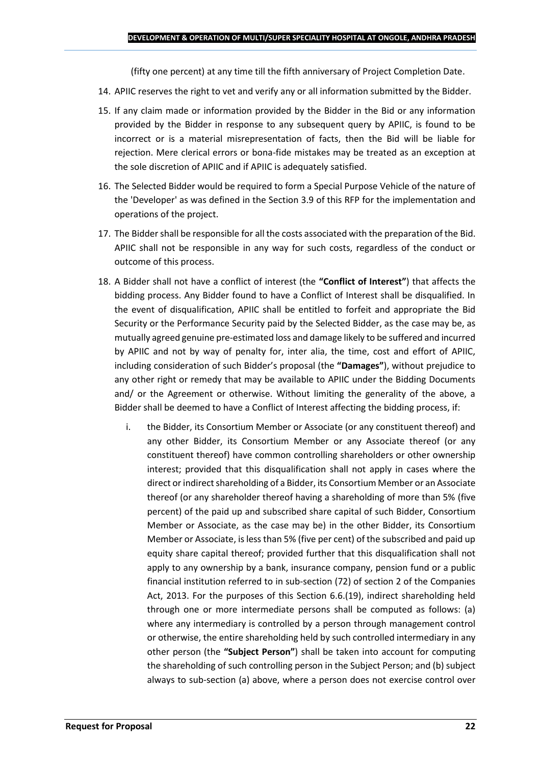(fifty one percent) at any time till the fifth anniversary of Project Completion Date.

- 14. APIIC reserves the right to vet and verify any or all information submitted by the Bidder.
- 15. If any claim made or information provided by the Bidder in the Bid or any information provided by the Bidder in response to any subsequent query by APIIC, is found to be incorrect or is a material misrepresentation of facts, then the Bid will be liable for rejection. Mere clerical errors or bona-fide mistakes may be treated as an exception at the sole discretion of APIIC and if APIIC is adequately satisfied.
- 16. The Selected Bidder would be required to form a Special Purpose Vehicle of the nature of the 'Developer' as was defined in the Section 3.9 of this RFP for the implementation and operations of the project.
- 17. The Bidder shall be responsible for all the costs associated with the preparation of the Bid. APIIC shall not be responsible in any way for such costs, regardless of the conduct or outcome of this process.
- 18. A Bidder shall not have a conflict of interest (the **"Conflict of Interest"**) that affects the bidding process. Any Bidder found to have a Conflict of Interest shall be disqualified. In the event of disqualification, APIIC shall be entitled to forfeit and appropriate the Bid Security or the Performance Security paid by the Selected Bidder, as the case may be, as mutually agreed genuine pre-estimated loss and damage likely to be suffered and incurred by APIIC and not by way of penalty for, inter alia, the time, cost and effort of APIIC, including consideration of such Bidder's proposal (the **"Damages"**), without prejudice to any other right or remedy that may be available to APIIC under the Bidding Documents and/ or the Agreement or otherwise. Without limiting the generality of the above, a Bidder shall be deemed to have a Conflict of Interest affecting the bidding process, if:
	- i. the Bidder, its Consortium Member or Associate (or any constituent thereof) and any other Bidder, its Consortium Member or any Associate thereof (or any constituent thereof) have common controlling shareholders or other ownership interest; provided that this disqualification shall not apply in cases where the direct or indirect shareholding of a Bidder, its Consortium Member or an Associate thereof (or any shareholder thereof having a shareholding of more than 5% (five percent) of the paid up and subscribed share capital of such Bidder, Consortium Member or Associate, as the case may be) in the other Bidder, its Consortium Member or Associate, is less than 5% (five per cent) of the subscribed and paid up equity share capital thereof; provided further that this disqualification shall not apply to any ownership by a bank, insurance company, pension fund or a public financial institution referred to in sub-section (72) of section 2 of the Companies Act, 2013. For the purposes of this Section 6.6.(19), indirect shareholding held through one or more intermediate persons shall be computed as follows: (a) where any intermediary is controlled by a person through management control or otherwise, the entire shareholding held by such controlled intermediary in any other person (the **"Subject Person"**) shall be taken into account for computing the shareholding of such controlling person in the Subject Person; and (b) subject always to sub-section (a) above, where a person does not exercise control over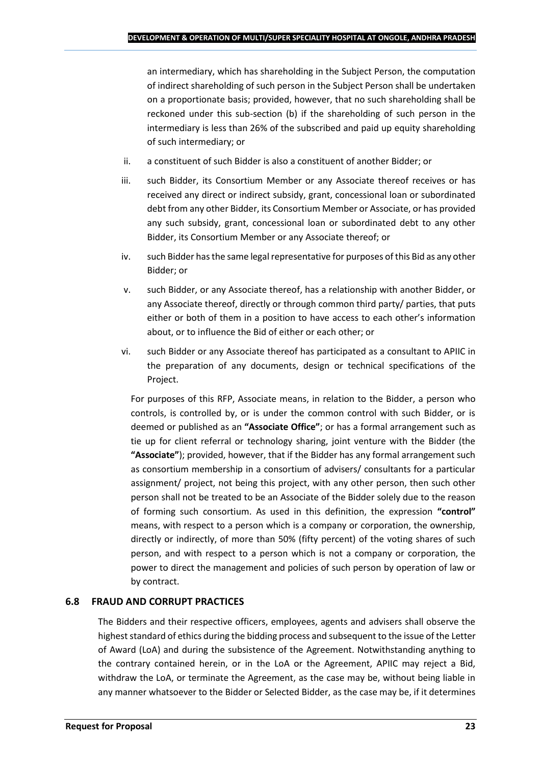an intermediary, which has shareholding in the Subject Person, the computation of indirect shareholding of such person in the Subject Person shall be undertaken on a proportionate basis; provided, however, that no such shareholding shall be reckoned under this sub-section (b) if the shareholding of such person in the intermediary is less than 26% of the subscribed and paid up equity shareholding of such intermediary; or

- ii. a constituent of such Bidder is also a constituent of another Bidder; or
- iii. such Bidder, its Consortium Member or any Associate thereof receives or has received any direct or indirect subsidy, grant, concessional loan or subordinated debt from any other Bidder, its Consortium Member or Associate, or has provided any such subsidy, grant, concessional loan or subordinated debt to any other Bidder, its Consortium Member or any Associate thereof; or
- iv. such Bidder has the same legal representative for purposes of this Bid as any other Bidder; or
- v. such Bidder, or any Associate thereof, has a relationship with another Bidder, or any Associate thereof, directly or through common third party/ parties, that puts either or both of them in a position to have access to each other's information about, or to influence the Bid of either or each other; or
- vi. such Bidder or any Associate thereof has participated as a consultant to APIIC in the preparation of any documents, design or technical specifications of the Project.

For purposes of this RFP, Associate means, in relation to the Bidder, a person who controls, is controlled by, or is under the common control with such Bidder, or is deemed or published as an **"Associate Office"**; or has a formal arrangement such as tie up for client referral or technology sharing, joint venture with the Bidder (the **"Associate"**); provided, however, that if the Bidder has any formal arrangement such as consortium membership in a consortium of advisers/ consultants for a particular assignment/ project, not being this project, with any other person, then such other person shall not be treated to be an Associate of the Bidder solely due to the reason of forming such consortium. As used in this definition, the expression **"control"**  means, with respect to a person which is a company or corporation, the ownership, directly or indirectly, of more than 50% (fifty percent) of the voting shares of such person, and with respect to a person which is not a company or corporation, the power to direct the management and policies of such person by operation of law or by contract.

### **6.8 FRAUD AND CORRUPT PRACTICES**

The Bidders and their respective officers, employees, agents and advisers shall observe the highest standard of ethics during the bidding process and subsequent to the issue of the Letter of Award (LoA) and during the subsistence of the Agreement. Notwithstanding anything to the contrary contained herein, or in the LoA or the Agreement, APIIC may reject a Bid, withdraw the LoA, or terminate the Agreement, as the case may be, without being liable in any manner whatsoever to the Bidder or Selected Bidder, as the case may be, if it determines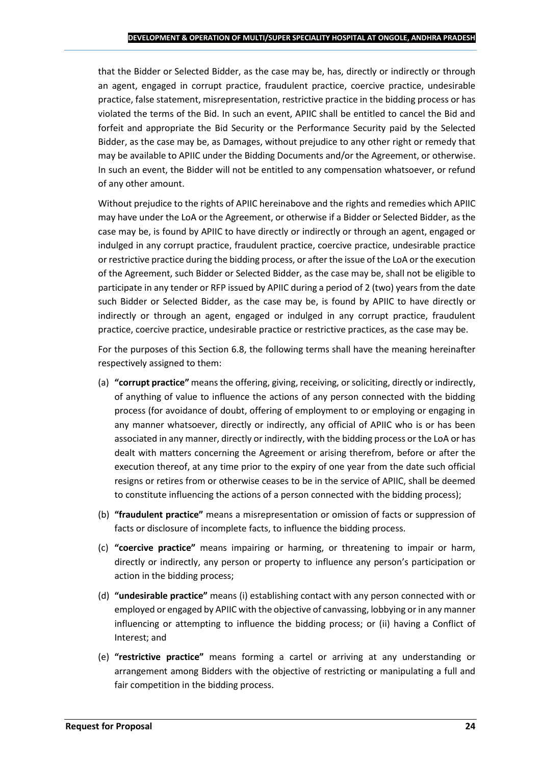that the Bidder or Selected Bidder, as the case may be, has, directly or indirectly or through an agent, engaged in corrupt practice, fraudulent practice, coercive practice, undesirable practice, false statement, misrepresentation, restrictive practice in the bidding process or has violated the terms of the Bid. In such an event, APIIC shall be entitled to cancel the Bid and forfeit and appropriate the Bid Security or the Performance Security paid by the Selected Bidder, as the case may be, as Damages, without prejudice to any other right or remedy that may be available to APIIC under the Bidding Documents and/or the Agreement, or otherwise. In such an event, the Bidder will not be entitled to any compensation whatsoever, or refund of any other amount.

Without prejudice to the rights of APIIC hereinabove and the rights and remedies which APIIC may have under the LoA or the Agreement, or otherwise if a Bidder or Selected Bidder, as the case may be, is found by APIIC to have directly or indirectly or through an agent, engaged or indulged in any corrupt practice, fraudulent practice, coercive practice, undesirable practice or restrictive practice during the bidding process, or after the issue of the LoA or the execution of the Agreement, such Bidder or Selected Bidder, as the case may be, shall not be eligible to participate in any tender or RFP issued by APIIC during a period of 2 (two) years from the date such Bidder or Selected Bidder, as the case may be, is found by APIIC to have directly or indirectly or through an agent, engaged or indulged in any corrupt practice, fraudulent practice, coercive practice, undesirable practice or restrictive practices, as the case may be.

For the purposes of this Section 6.8, the following terms shall have the meaning hereinafter respectively assigned to them:

- (a) **"corrupt practice"** means the offering, giving, receiving, or soliciting, directly or indirectly, of anything of value to influence the actions of any person connected with the bidding process (for avoidance of doubt, offering of employment to or employing or engaging in any manner whatsoever, directly or indirectly, any official of APIIC who is or has been associated in any manner, directly or indirectly, with the bidding process or the LoA or has dealt with matters concerning the Agreement or arising therefrom, before or after the execution thereof, at any time prior to the expiry of one year from the date such official resigns or retires from or otherwise ceases to be in the service of APIIC, shall be deemed to constitute influencing the actions of a person connected with the bidding process);
- (b) **"fraudulent practice"** means a misrepresentation or omission of facts or suppression of facts or disclosure of incomplete facts, to influence the bidding process.
- (c) **"coercive practice"** means impairing or harming, or threatening to impair or harm, directly or indirectly, any person or property to influence any person's participation or action in the bidding process;
- (d) **"undesirable practice"** means (i) establishing contact with any person connected with or employed or engaged by APIIC with the objective of canvassing, lobbying or in any manner influencing or attempting to influence the bidding process; or (ii) having a Conflict of Interest; and
- (e) **"restrictive practice"** means forming a cartel or arriving at any understanding or arrangement among Bidders with the objective of restricting or manipulating a full and fair competition in the bidding process.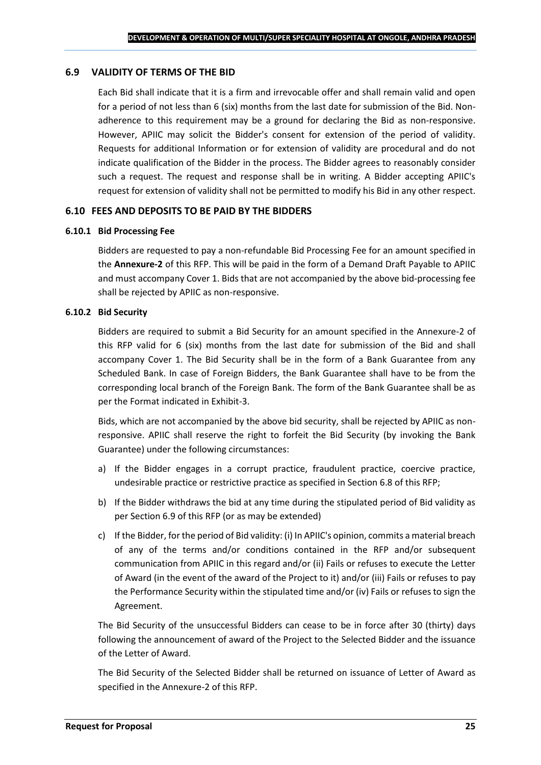#### **6.9 VALIDITY OF TERMS OF THE BID**

Each Bid shall indicate that it is a firm and irrevocable offer and shall remain valid and open for a period of not less than 6 (six) months from the last date for submission of the Bid. Nonadherence to this requirement may be a ground for declaring the Bid as non-responsive. However, APIIC may solicit the Bidder's consent for extension of the period of validity. Requests for additional Information or for extension of validity are procedural and do not indicate qualification of the Bidder in the process. The Bidder agrees to reasonably consider such a request. The request and response shall be in writing. A Bidder accepting APIIC's request for extension of validity shall not be permitted to modify his Bid in any other respect.

#### **6.10 FEES AND DEPOSITS TO BE PAID BY THE BIDDERS**

#### **6.10.1 Bid Processing Fee**

Bidders are requested to pay a non-refundable Bid Processing Fee for an amount specified in the **Annexure-2** of this RFP. This will be paid in the form of a Demand Draft Payable to APIIC and must accompany Cover 1. Bids that are not accompanied by the above bid-processing fee shall be rejected by APIIC as non-responsive.

#### **6.10.2 Bid Security**

Bidders are required to submit a Bid Security for an amount specified in the Annexure-2 of this RFP valid for 6 (six) months from the last date for submission of the Bid and shall accompany Cover 1. The Bid Security shall be in the form of a Bank Guarantee from any Scheduled Bank. In case of Foreign Bidders, the Bank Guarantee shall have to be from the corresponding local branch of the Foreign Bank. The form of the Bank Guarantee shall be as per the Format indicated in Exhibit-3.

Bids, which are not accompanied by the above bid security, shall be rejected by APIIC as nonresponsive. APIIC shall reserve the right to forfeit the Bid Security (by invoking the Bank Guarantee) under the following circumstances:

- a) If the Bidder engages in a corrupt practice, fraudulent practice, coercive practice, undesirable practice or restrictive practice as specified in Section 6.8 of this RFP;
- b) If the Bidder withdraws the bid at any time during the stipulated period of Bid validity as per Section 6.9 of this RFP (or as may be extended)
- c) If the Bidder, for the period of Bid validity: (i) In APIIC's opinion, commits a material breach of any of the terms and/or conditions contained in the RFP and/or subsequent communication from APIIC in this regard and/or (ii) Fails or refuses to execute the Letter of Award (in the event of the award of the Project to it) and/or (iii) Fails or refuses to pay the Performance Security within the stipulated time and/or (iv) Fails or refuses to sign the Agreement.

The Bid Security of the unsuccessful Bidders can cease to be in force after 30 (thirty) days following the announcement of award of the Project to the Selected Bidder and the issuance of the Letter of Award.

The Bid Security of the Selected Bidder shall be returned on issuance of Letter of Award as specified in the Annexure-2 of this RFP.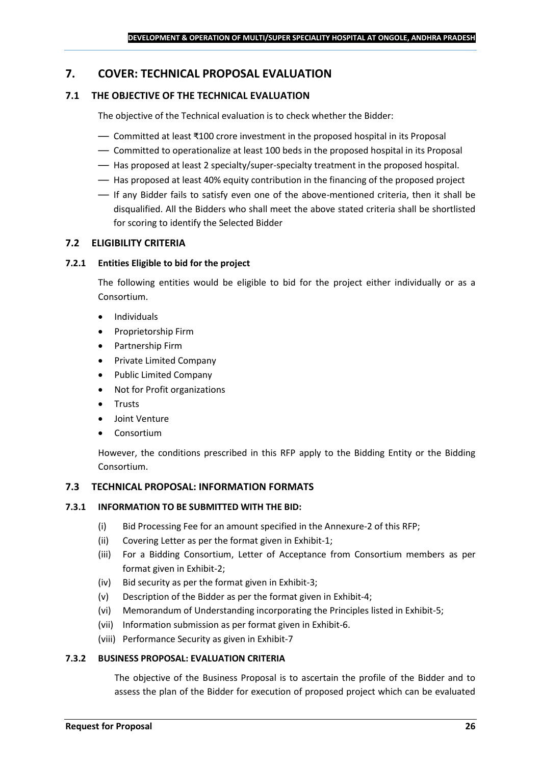### <span id="page-25-0"></span>**7. COVER: TECHNICAL PROPOSAL EVALUATION**

### **7.1 THE OBJECTIVE OF THE TECHNICAL EVALUATION**

The objective of the Technical evaluation is to check whether the Bidder:

- Committed at least ₹100 crore investment in the proposed hospital in its Proposal
- Committed to operationalize at least 100 beds in the proposed hospital in its Proposal
- Has proposed at least 2 specialty/super-specialty treatment in the proposed hospital.
- Has proposed at least 40% equity contribution in the financing of the proposed project
- If any Bidder fails to satisfy even one of the above-mentioned criteria, then it shall be disqualified. All the Bidders who shall meet the above stated criteria shall be shortlisted for scoring to identify the Selected Bidder

### **7.2 ELIGIBILITY CRITERIA**

### **7.2.1 Entities Eligible to bid for the project**

The following entities would be eligible to bid for the project either individually or as a Consortium.

- Individuals
- Proprietorship Firm
- Partnership Firm
- Private Limited Company
- Public Limited Company
- Not for Profit organizations
- Trusts
- Joint Venture
- **Consortium**

However, the conditions prescribed in this RFP apply to the Bidding Entity or the Bidding Consortium.

### **7.3 TECHNICAL PROPOSAL: INFORMATION FORMATS**

### **7.3.1 INFORMATION TO BE SUBMITTED WITH THE BID:**

- (i) Bid Processing Fee for an amount specified in the Annexure-2 of this RFP;
- (ii) Covering Letter as per the format given in Exhibit-1;
- (iii) For a Bidding Consortium, Letter of Acceptance from Consortium members as per format given in Exhibit-2;
- (iv) Bid security as per the format given in Exhibit-3;
- (v) Description of the Bidder as per the format given in Exhibit-4;
- (vi) Memorandum of Understanding incorporating the Principles listed in Exhibit-5;
- (vii) Information submission as per format given in Exhibit-6.
- (viii) Performance Security as given in Exhibit-7

### **7.3.2 BUSINESS PROPOSAL: EVALUATION CRITERIA**

The objective of the Business Proposal is to ascertain the profile of the Bidder and to assess the plan of the Bidder for execution of proposed project which can be evaluated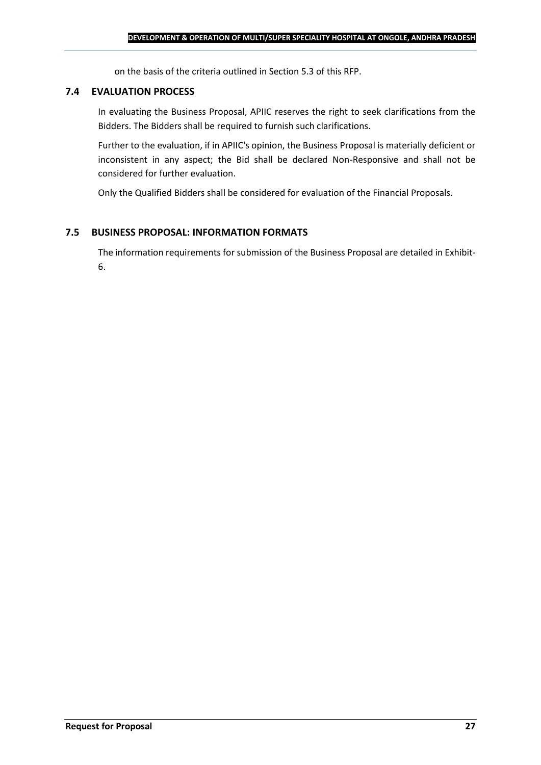on the basis of the criteria outlined in Section 5.3 of this RFP.

#### **7.4 EVALUATION PROCESS**

In evaluating the Business Proposal, APIIC reserves the right to seek clarifications from the Bidders. The Bidders shall be required to furnish such clarifications.

Further to the evaluation, if in APIIC's opinion, the Business Proposal is materially deficient or inconsistent in any aspect; the Bid shall be declared Non-Responsive and shall not be considered for further evaluation.

Only the Qualified Bidders shall be considered for evaluation of the Financial Proposals.

### **7.5 BUSINESS PROPOSAL: INFORMATION FORMATS**

The information requirements for submission of the Business Proposal are detailed in Exhibit-6.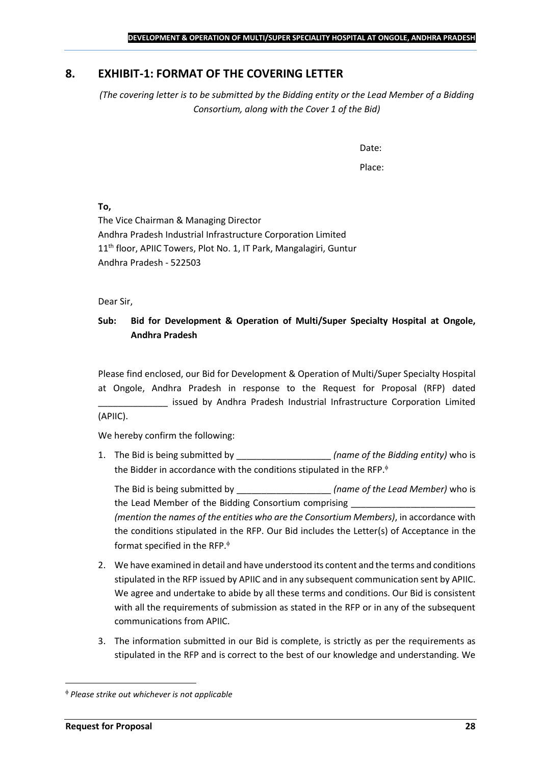### <span id="page-27-0"></span>**8. EXHIBIT-1: FORMAT OF THE COVERING LETTER**

*(The covering letter is to be submitted by the Bidding entity or the Lead Member of a Bidding Consortium, along with the Cover 1 of the Bid)*

Date:

Place:

**To,**

The Vice Chairman & Managing Director Andhra Pradesh Industrial Infrastructure Corporation Limited 11<sup>th</sup> floor, APIIC Towers, Plot No. 1, IT Park, Mangalagiri, Guntur Andhra Pradesh - 522503

Dear Sir,

### **Sub: Bid for Development & Operation of Multi/Super Specialty Hospital at Ongole, Andhra Pradesh**

Please find enclosed, our Bid for Development & Operation of Multi/Super Specialty Hospital at Ongole, Andhra Pradesh in response to the Request for Proposal (RFP) dated issued by Andhra Pradesh Industrial Infrastructure Corporation Limited (APIIC).

We hereby confirm the following:

1. The Bid is being submitted by **the intervalle in the Sidding entity**) who is the Bidder in accordance with the conditions stipulated in the RFP.

The Bid is being submitted by **the inclusive in the Solution Contract Contract Contract Contract Contract Contract Contract Contract Contract Contract Contract Contract Contract Contract Contract Contract Contract Contract** the Lead Member of the Bidding Consortium comprising *(mention the names of the entities who are the Consortium Members)*, in accordance with the conditions stipulated in the RFP. Our Bid includes the Letter(s) of Acceptance in the format specified in the RFP.

- 2. We have examined in detail and have understood its content and the terms and conditions stipulated in the RFP issued by APIIC and in any subsequent communication sent by APIIC. We agree and undertake to abide by all these terms and conditions. Our Bid is consistent with all the requirements of submission as stated in the RFP or in any of the subsequent communications from APIIC.
- 3. The information submitted in our Bid is complete, is strictly as per the requirements as stipulated in the RFP and is correct to the best of our knowledge and understanding. We

*Please strike out whichever is not applicable*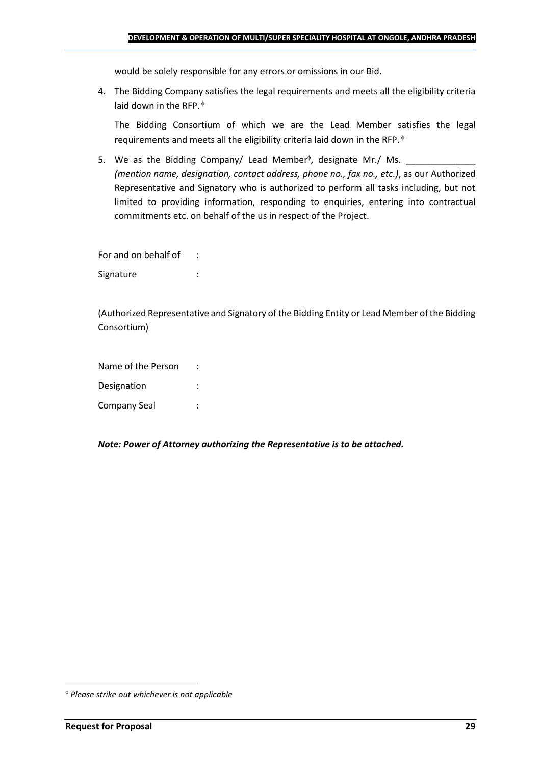would be solely responsible for any errors or omissions in our Bid.

4. The Bidding Company satisfies the legal requirements and meets all the eligibility criteria laid down in the RFP.  $\phi$ 

The Bidding Consortium of which we are the Lead Member satisfies the legal requirements and meets all the eligibility criteria laid down in the RFP.

5. We as the Bidding Company/ Lead Member<sup> $\phi$ </sup>, designate Mr./ Ms.  $\frac{1}{\sqrt{1-\frac{1}{2}}\sqrt{1-\frac{1}{2}}\sqrt{1-\frac{1}{2}}\sqrt{1-\frac{1}{2}}\sqrt{1-\frac{1}{2}}\sqrt{1-\frac{1}{2}}\sqrt{1-\frac{1}{2}}\sqrt{1-\frac{1}{2}}\sqrt{1-\frac{1}{2}}\sqrt{1-\frac{1}{2}}\sqrt{1-\frac{1}{2}}\sqrt{1-\frac{1}{2}}\sqrt{1-\frac{1}{2}}\sqrt{1$ *(mention name, designation, contact address, phone no., fax no., etc.)*, as our Authorized Representative and Signatory who is authorized to perform all tasks including, but not limited to providing information, responding to enquiries, entering into contractual commitments etc. on behalf of the us in respect of the Project.

For and on behalf of : Signature : the state of the state of the state of the state of the state of the state of the state of the state of the state of the state of the state of the state of the state of the state of the state of the state of th

(Authorized Representative and Signatory of the Bidding Entity or Lead Member of the Bidding Consortium)

Name of the Person : Designation : Company Seal :

*Note: Power of Attorney authorizing the Representative is to be attached.*

*Please strike out whichever is not applicable*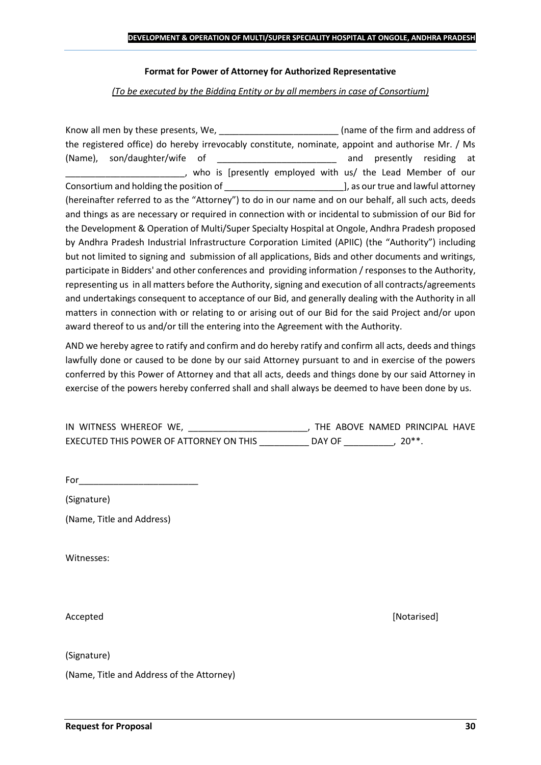#### **Format for Power of Attorney for Authorized Representative**

*(To be executed by the Bidding Entity or by all members in case of Consortium)*

Know all men by these presents, We, the state of the firm and address of the registered office) do hereby irrevocably constitute, nominate, appoint and authorise Mr. / Ms (Name), son/daughter/wife of \_\_\_\_\_\_\_\_\_\_\_\_\_\_\_\_\_\_\_\_\_\_\_\_ and presently residing at who is [presently employed with us/ the Lead Member of our Consortium and holding the position of  $\Box$  . The position of  $\Box$  as our true and lawful attorney (hereinafter referred to as the "Attorney") to do in our name and on our behalf, all such acts, deeds and things as are necessary or required in connection with or incidental to submission of our Bid for the Development & Operation of Multi/Super Specialty Hospital at Ongole, Andhra Pradesh proposed by Andhra Pradesh Industrial Infrastructure Corporation Limited (APIIC) (the "Authority") including but not limited to signing and submission of all applications, Bids and other documents and writings, participate in Bidders' and other conferences and providing information / responses to the Authority, representing us in all matters before the Authority, signing and execution of all contracts/agreements and undertakings consequent to acceptance of our Bid, and generally dealing with the Authority in all matters in connection with or relating to or arising out of our Bid for the said Project and/or upon award thereof to us and/or till the entering into the Agreement with the Authority.

AND we hereby agree to ratify and confirm and do hereby ratify and confirm all acts, deeds and things lawfully done or caused to be done by our said Attorney pursuant to and in exercise of the powers conferred by this Power of Attorney and that all acts, deeds and things done by our said Attorney in exercise of the powers hereby conferred shall and shall always be deemed to have been done by us.

| IN WITNESS WHEREOF WE,                  |        | THE ABOVE NAMED PRINCIPAL HAVE |  |
|-----------------------------------------|--------|--------------------------------|--|
| EXECUTED THIS POWER OF ATTORNEY ON THIS | DAY OF | $20**$                         |  |

For  $\qquad$ 

(Signature)

(Name, Title and Address)

Witnesses:

(Signature)

(Name, Title and Address of the Attorney)

Accepted **[Notarised] Accepted** *Maximum Maximum Maximum Maximum Maximum <i>Maximum Maximum Maximum <i>Maximum Maximum Maximum <i>Maximum Maximum Maximum <i>Maximum Maximum*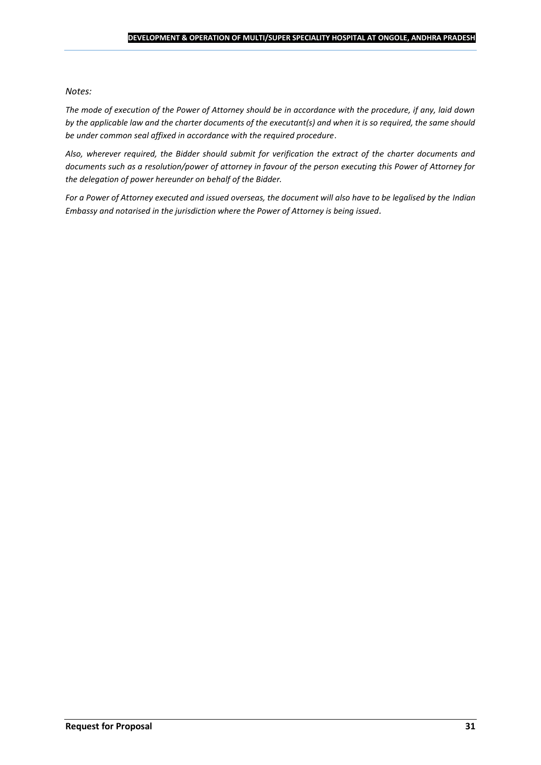#### *Notes:*

*The mode of execution of the Power of Attorney should be in accordance with the procedure, if any, laid down by the applicable law and the charter documents of the executant(s) and when it is so required, the same should be under common seal affixed in accordance with the required procedure*.

*Also, wherever required, the Bidder should submit for verification the extract of the charter documents and documents such as a resolution/power of attorney in favour of the person executing this Power of Attorney for the delegation of power hereunder on behalf of the Bidder.* 

For a Power of Attorney executed and issued overseas, the document will also have to be legalised by the *Indian Embassy and notarised in the jurisdiction where the Power of Attorney is being issued.*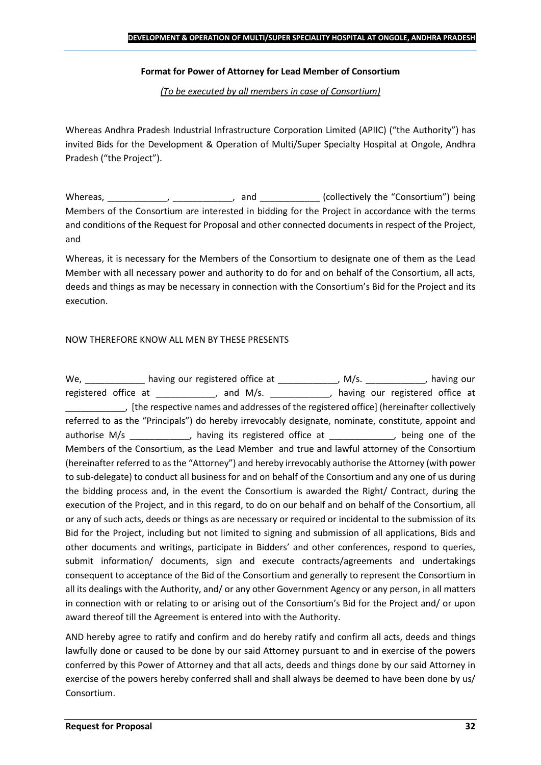### **Format for Power of Attorney for Lead Member of Consortium**

*(To be executed by all members in case of Consortium)*

Whereas Andhra Pradesh Industrial Infrastructure Corporation Limited (APIIC) ("the Authority") has invited Bids for the Development & Operation of Multi/Super Specialty Hospital at Ongole, Andhra Pradesh ("the Project").

Whereas, \_\_\_\_\_\_\_\_\_\_\_\_, \_\_\_\_\_\_\_\_\_\_\_, and \_\_\_\_\_\_\_\_\_\_\_\_ (collectively the "Consortium") being Members of the Consortium are interested in bidding for the Project in accordance with the terms and conditions of the Request for Proposal and other connected documents in respect of the Project, and

Whereas, it is necessary for the Members of the Consortium to designate one of them as the Lead Member with all necessary power and authority to do for and on behalf of the Consortium, all acts, deeds and things as may be necessary in connection with the Consortium's Bid for the Project and its execution.

### NOW THEREFORE KNOW ALL MEN BY THESE PRESENTS

We, \_\_\_\_\_\_\_\_\_\_\_\_\_ having our registered office at \_\_\_\_\_\_\_\_\_\_\_\_\_, M/s. \_\_\_\_\_\_\_\_\_\_\_, having our registered office at \_\_\_\_\_\_\_\_\_\_\_, and M/s. \_\_\_\_\_\_\_\_\_\_\_, having our registered office at \_\_\_\_\_\_\_\_\_\_\_\_, [the respective names and addresses of the registered office] (hereinafter collectively referred to as the "Principals") do hereby irrevocably designate, nominate, constitute, appoint and authorise M/s \_\_\_\_\_\_\_\_\_\_\_, having its registered office at \_\_\_\_\_\_\_\_\_\_\_, being one of the Members of the Consortium, as the Lead Member and true and lawful attorney of the Consortium (hereinafter referred to as the "Attorney") and hereby irrevocably authorise the Attorney (with power to sub-delegate) to conduct all business for and on behalf of the Consortium and any one of us during the bidding process and, in the event the Consortium is awarded the Right/ Contract, during the execution of the Project, and in this regard, to do on our behalf and on behalf of the Consortium, all or any of such acts, deeds or things as are necessary or required or incidental to the submission of its Bid for the Project, including but not limited to signing and submission of all applications, Bids and other documents and writings, participate in Bidders' and other conferences, respond to queries, submit information/ documents, sign and execute contracts/agreements and undertakings consequent to acceptance of the Bid of the Consortium and generally to represent the Consortium in all its dealings with the Authority, and/ or any other Government Agency or any person, in all matters in connection with or relating to or arising out of the Consortium's Bid for the Project and/ or upon award thereof till the Agreement is entered into with the Authority.

AND hereby agree to ratify and confirm and do hereby ratify and confirm all acts, deeds and things lawfully done or caused to be done by our said Attorney pursuant to and in exercise of the powers conferred by this Power of Attorney and that all acts, deeds and things done by our said Attorney in exercise of the powers hereby conferred shall and shall always be deemed to have been done by us/ Consortium.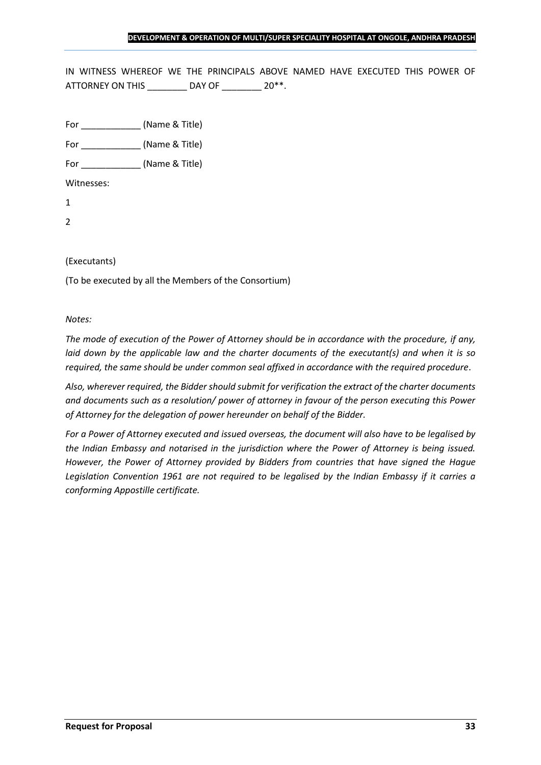IN WITNESS WHEREOF WE THE PRINCIPALS ABOVE NAMED HAVE EXECUTED THIS POWER OF ATTORNEY ON THIS \_\_\_\_\_\_\_\_ DAY OF \_\_\_\_\_\_\_ 20\*\*.

For \_\_\_\_\_\_\_\_\_\_\_\_ (Name & Title)

For  $(Name & Title)$ 

Witnesses:

1

2

### (Executants)

(To be executed by all the Members of the Consortium)

#### *Notes:*

*The mode of execution of the Power of Attorney should be in accordance with the procedure, if any, laid down by the applicable law and the charter documents of the executant(s) and when it is so required, the same should be under common seal affixed in accordance with the required procedure*.

*Also, wherever required, the Bidder should submit for verification the extract of the charter documents and documents such as a resolution/ power of attorney in favour of the person executing this Power of Attorney for the delegation of power hereunder on behalf of the Bidder.* 

*For a Power of Attorney executed and issued overseas, the document will also have to be legalised by the Indian Embassy and notarised in the jurisdiction where the Power of Attorney is being issued. However, the Power of Attorney provided by Bidders from countries that have signed the Hague Legislation Convention 1961 are not required to be legalised by the Indian Embassy if it carries a conforming Appostille certificate.*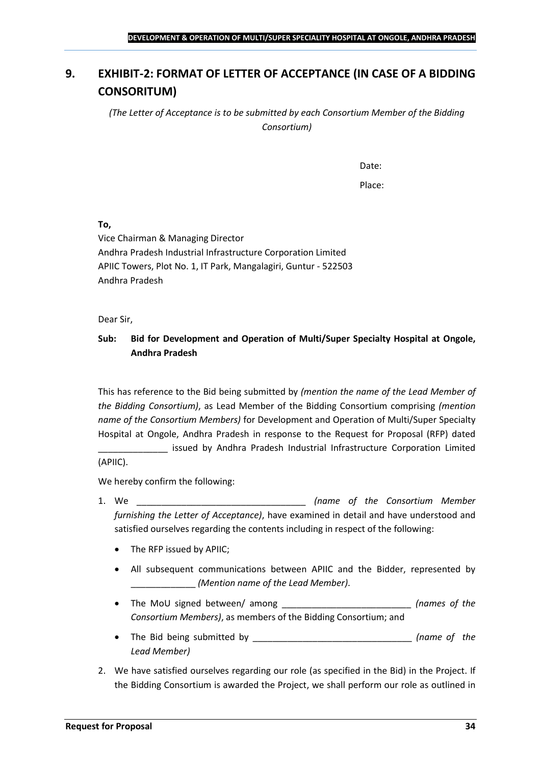# <span id="page-33-0"></span>**9. EXHIBIT-2: FORMAT OF LETTER OF ACCEPTANCE (IN CASE OF A BIDDING CONSORITUM)**

*(The Letter of Acceptance is to be submitted by each Consortium Member of the Bidding Consortium)*

Date:

Place:

**To,**

Vice Chairman & Managing Director Andhra Pradesh Industrial Infrastructure Corporation Limited APIIC Towers, Plot No. 1, IT Park, Mangalagiri, Guntur - 522503 Andhra Pradesh

Dear Sir,

### **Sub: Bid for Development and Operation of Multi/Super Specialty Hospital at Ongole, Andhra Pradesh**

This has reference to the Bid being submitted by *(mention the name of the Lead Member of the Bidding Consortium)*, as Lead Member of the Bidding Consortium comprising *(mention name of the Consortium Members)* for Development and Operation of Multi/Super Specialty Hospital at Ongole, Andhra Pradesh in response to the Request for Proposal (RFP) dated

issued by Andhra Pradesh Industrial Infrastructure Corporation Limited (APIIC).

We hereby confirm the following:

- 1. We \_\_\_\_\_\_\_\_\_\_\_\_\_\_\_\_\_\_\_\_\_\_\_\_\_\_\_\_\_\_\_\_\_\_ *(name of the Consortium Member furnishing the Letter of Acceptance)*, have examined in detail and have understood and satisfied ourselves regarding the contents including in respect of the following:
	- The RFP issued by APIIC;
	- All subsequent communications between APIIC and the Bidder, represented by \_\_\_\_\_\_\_\_\_\_\_\_\_ *(Mention name of the Lead Member)*.
	- The MoU signed between/ among \_\_\_\_\_\_\_\_\_\_\_\_\_\_\_\_\_\_\_\_\_\_\_\_\_\_ *(names of the Consortium Members)*, as members of the Bidding Consortium; and
	- The Bid being submitted by \_\_\_\_\_\_\_\_\_\_\_\_\_\_\_\_\_\_\_\_\_\_\_\_\_\_\_\_\_\_\_\_ *(name of the Lead Member)*
- 2. We have satisfied ourselves regarding our role (as specified in the Bid) in the Project. If the Bidding Consortium is awarded the Project, we shall perform our role as outlined in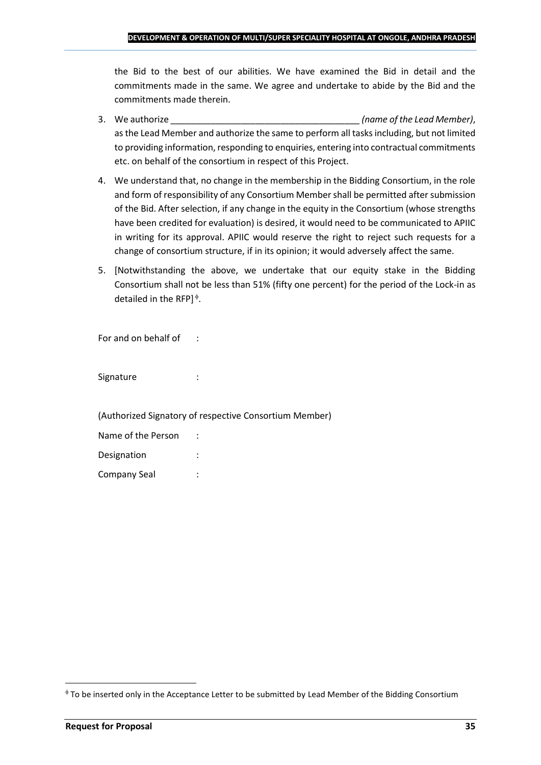the Bid to the best of our abilities. We have examined the Bid in detail and the commitments made in the same. We agree and undertake to abide by the Bid and the commitments made therein.

- 3. We authorize \_\_\_\_\_\_\_\_\_\_\_\_\_\_\_\_\_\_\_\_\_\_\_\_\_\_\_\_\_\_\_\_\_\_\_\_\_\_ *(name of the Lead Member)*, as the Lead Member and authorize the same to perform all tasks including, but not limited to providing information, responding to enquiries, entering into contractual commitments etc. on behalf of the consortium in respect of this Project.
- 4. We understand that, no change in the membership in the Bidding Consortium, in the role and form of responsibility of any Consortium Member shall be permitted after submission of the Bid. After selection, if any change in the equity in the Consortium (whose strengths have been credited for evaluation) is desired, it would need to be communicated to APIIC in writing for its approval. APIIC would reserve the right to reject such requests for a change of consortium structure, if in its opinion; it would adversely affect the same.
- 5. [Notwithstanding the above, we undertake that our equity stake in the Bidding Consortium shall not be less than 51% (fifty one percent) for the period of the Lock-in as detailed in the RFP] $\triangleq$ .

For and on behalf of :

Signature : :

(Authorized Signatory of respective Consortium Member)

| Name of the Person |  |
|--------------------|--|
| Designation        |  |
| Company Seal       |  |

To be inserted only in the Acceptance Letter to be submitted by Lead Member of the Bidding Consortium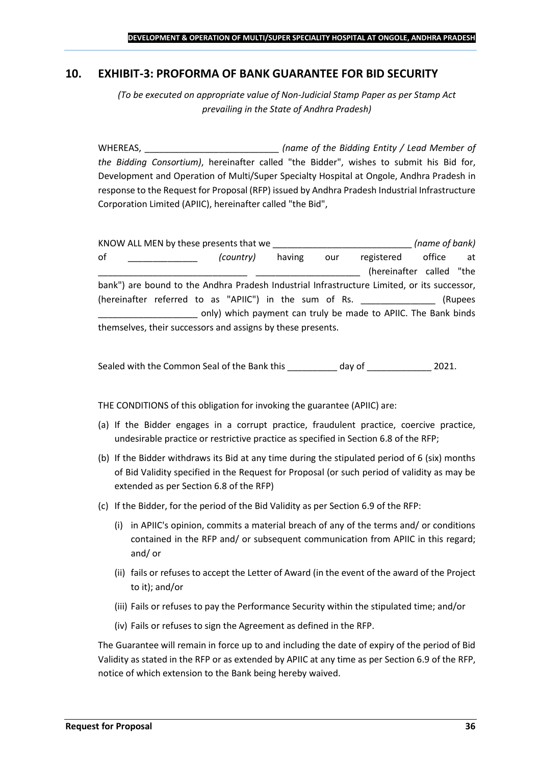### <span id="page-35-0"></span>**10. EXHIBIT-3: PROFORMA OF BANK GUARANTEE FOR BID SECURITY**

*(To be executed on appropriate value of Non-Judicial Stamp Paper as per Stamp Act prevailing in the State of Andhra Pradesh)*

WHEREAS, \_\_\_\_\_\_\_\_\_\_\_\_\_\_\_\_\_\_\_\_\_\_\_\_\_\_\_ *(name of the Bidding Entity / Lead Member of the Bidding Consortium)*, hereinafter called "the Bidder", wishes to submit his Bid for, Development and Operation of Multi/Super Specialty Hospital at Ongole, Andhra Pradesh in response to the Request for Proposal (RFP) issued by Andhra Pradesh Industrial Infrastructure Corporation Limited (APIIC), hereinafter called "the Bid",

KNOW ALL MEN by these presents that we \_\_\_\_\_\_\_\_\_\_\_\_\_\_\_\_\_\_\_\_\_\_\_\_\_\_\_\_ *(name of bank)* of \_\_\_\_\_\_\_\_\_\_\_\_\_\_ *(country)* having our registered office at (hereinafter called "the bank") are bound to the Andhra Pradesh Industrial Infrastructure Limited, or its successor, (hereinafter referred to as "APIIC") in the sum of Rs. \_\_\_\_\_\_\_\_\_\_\_\_\_\_\_ (Rupees \_\_\_\_\_\_\_\_\_\_\_\_\_\_\_\_\_\_\_\_ only) which payment can truly be made to APIIC. The Bank binds themselves, their successors and assigns by these presents.

Sealed with the Common Seal of the Bank this day of  $2021$ .

THE CONDITIONS of this obligation for invoking the guarantee (APIIC) are:

- (a) If the Bidder engages in a corrupt practice, fraudulent practice, coercive practice, undesirable practice or restrictive practice as specified in Section 6.8 of the RFP;
- (b) If the Bidder withdraws its Bid at any time during the stipulated period of 6 (six) months of Bid Validity specified in the Request for Proposal (or such period of validity as may be extended as per Section 6.8 of the RFP)
- (c) If the Bidder, for the period of the Bid Validity as per Section 6.9 of the RFP:
	- (i) in APIIC's opinion, commits a material breach of any of the terms and/ or conditions contained in the RFP and/ or subsequent communication from APIIC in this regard; and/ or
	- (ii) fails or refuses to accept the Letter of Award (in the event of the award of the Project to it); and/or
	- (iii) Fails or refuses to pay the Performance Security within the stipulated time; and/or
	- (iv) Fails or refuses to sign the Agreement as defined in the RFP.

The Guarantee will remain in force up to and including the date of expiry of the period of Bid Validity as stated in the RFP or as extended by APIIC at any time as per Section 6.9 of the RFP, notice of which extension to the Bank being hereby waived.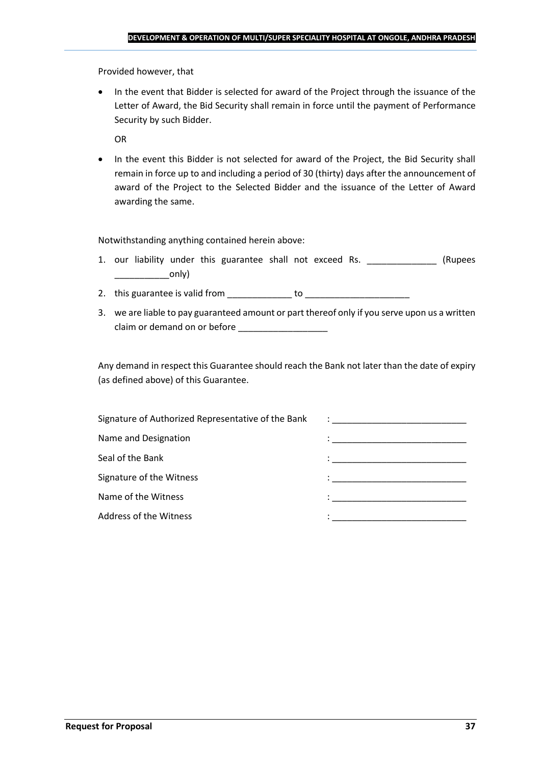Provided however, that

• In the event that Bidder is selected for award of the Project through the issuance of the Letter of Award, the Bid Security shall remain in force until the payment of Performance Security by such Bidder.

OR

• In the event this Bidder is not selected for award of the Project, the Bid Security shall remain in force up to and including a period of 30 (thirty) days after the announcement of award of the Project to the Selected Bidder and the issuance of the Letter of Award awarding the same.

Notwithstanding anything contained herein above:

- 1. our liability under this guarantee shall not exceed Rs. \_\_\_\_\_\_\_\_\_\_\_\_\_\_\_ (Rupees  $\begin{array}{c} \begin{array}{c} \begin{array}{c} \end{array} \end{array}$
- 2. this guarantee is valid from to be to to to the state of the state of the state of the state of the state o
- 3. we are liable to pay guaranteed amount or part thereof only if you serve upon us a written claim or demand on or before

Any demand in respect this Guarantee should reach the Bank not later than the date of expiry (as defined above) of this Guarantee.

| Signature of Authorized Representative of the Bank | $\mathcal{L}=\frac{1}{\sqrt{2\pi}}\left\{ \frac{1}{\sqrt{2\pi}}\right\}$                                                              |
|----------------------------------------------------|---------------------------------------------------------------------------------------------------------------------------------------|
| Name and Designation                               | the contract of the contract of the contract of the contract of the contract of the contract of                                       |
| Seal of the Bank                                   | the control of the control of the control of the control of the control of                                                            |
| Signature of the Witness                           |                                                                                                                                       |
| Name of the Witness                                | en de la componentación de la componentación de la componentación de la componentación de la componentación de<br>A la componentación |
| Address of the Witness                             |                                                                                                                                       |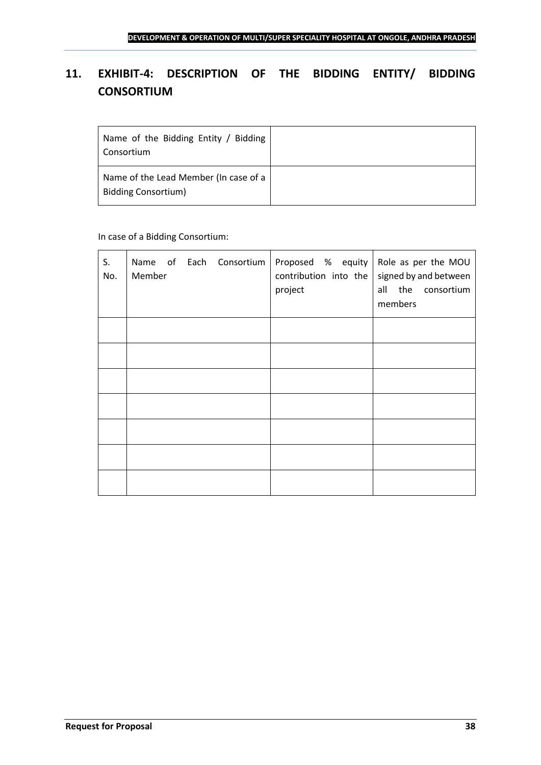# <span id="page-37-0"></span>**11. EXHIBIT-4: DESCRIPTION OF THE BIDDING ENTITY/ BIDDING CONSORTIUM**

| Name of the Bidding Entity / Bidding<br>Consortium                  |  |
|---------------------------------------------------------------------|--|
| Name of the Lead Member (In case of a<br><b>Bidding Consortium)</b> |  |

### In case of a Bidding Consortium:

| S.<br>No. | Name of Each Consortium   Proposed % equity   Role as per the MOU<br>Member | contribution into the<br>project | signed by and between<br>all the consortium<br>members |
|-----------|-----------------------------------------------------------------------------|----------------------------------|--------------------------------------------------------|
|           |                                                                             |                                  |                                                        |
|           |                                                                             |                                  |                                                        |
|           |                                                                             |                                  |                                                        |
|           |                                                                             |                                  |                                                        |
|           |                                                                             |                                  |                                                        |
|           |                                                                             |                                  |                                                        |
|           |                                                                             |                                  |                                                        |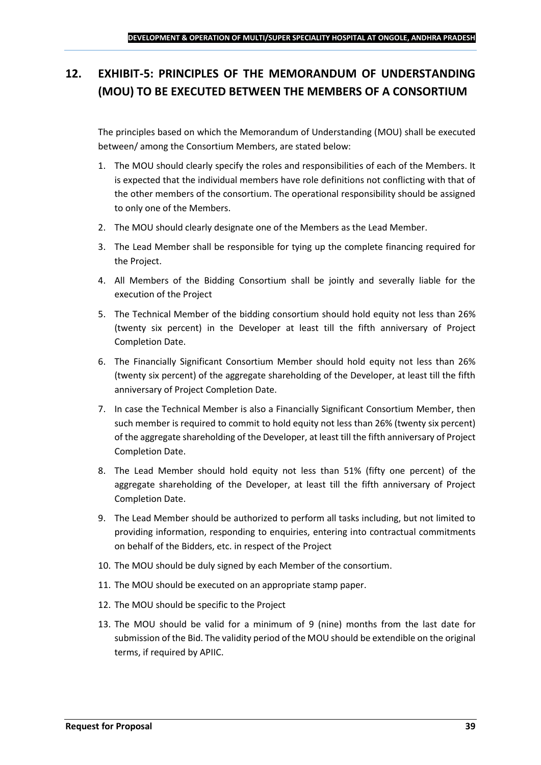# <span id="page-38-0"></span>**12. EXHIBIT-5: PRINCIPLES OF THE MEMORANDUM OF UNDERSTANDING (MOU) TO BE EXECUTED BETWEEN THE MEMBERS OF A CONSORTIUM**

The principles based on which the Memorandum of Understanding (MOU) shall be executed between/ among the Consortium Members, are stated below:

- 1. The MOU should clearly specify the roles and responsibilities of each of the Members. It is expected that the individual members have role definitions not conflicting with that of the other members of the consortium. The operational responsibility should be assigned to only one of the Members.
- 2. The MOU should clearly designate one of the Members as the Lead Member.
- 3. The Lead Member shall be responsible for tying up the complete financing required for the Project.
- 4. All Members of the Bidding Consortium shall be jointly and severally liable for the execution of the Project
- 5. The Technical Member of the bidding consortium should hold equity not less than 26% (twenty six percent) in the Developer at least till the fifth anniversary of Project Completion Date.
- 6. The Financially Significant Consortium Member should hold equity not less than 26% (twenty six percent) of the aggregate shareholding of the Developer, at least till the fifth anniversary of Project Completion Date.
- 7. In case the Technical Member is also a Financially Significant Consortium Member, then such member is required to commit to hold equity not less than 26% (twenty six percent) of the aggregate shareholding of the Developer, at least till the fifth anniversary of Project Completion Date.
- 8. The Lead Member should hold equity not less than 51% (fifty one percent) of the aggregate shareholding of the Developer, at least till the fifth anniversary of Project Completion Date.
- 9. The Lead Member should be authorized to perform all tasks including, but not limited to providing information, responding to enquiries, entering into contractual commitments on behalf of the Bidders, etc. in respect of the Project
- 10. The MOU should be duly signed by each Member of the consortium.
- 11. The MOU should be executed on an appropriate stamp paper.
- 12. The MOU should be specific to the Project
- 13. The MOU should be valid for a minimum of 9 (nine) months from the last date for submission of the Bid. The validity period of the MOU should be extendible on the original terms, if required by APIIC.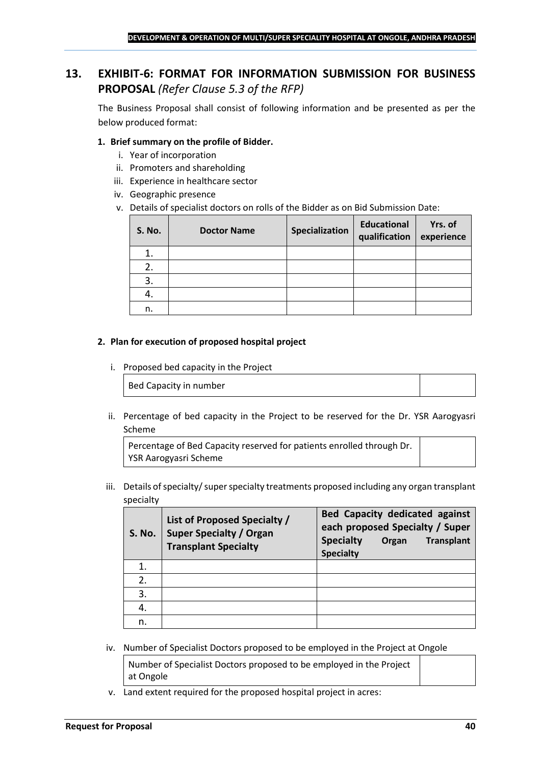# <span id="page-39-0"></span>**13. EXHIBIT-6: FORMAT FOR INFORMATION SUBMISSION FOR BUSINESS PROPOSAL** *(Refer Clause 5.3 of the RFP)*

The Business Proposal shall consist of following information and be presented as per the below produced format:

### **1. Brief summary on the profile of Bidder.**

- i. Year of incorporation
- ii. Promoters and shareholding
- iii. Experience in healthcare sector
- iv. Geographic presence
- v. Details of specialist doctors on rolls of the Bidder as on Bid Submission Date:

| <b>S. No.</b> | <b>Doctor Name</b> | Specialization | <b>Educational</b><br>qualification | Yrs. of<br>experience |
|---------------|--------------------|----------------|-------------------------------------|-----------------------|
|               |                    |                |                                     |                       |
| 2.            |                    |                |                                     |                       |
| 3.            |                    |                |                                     |                       |
| 4.            |                    |                |                                     |                       |
| n.            |                    |                |                                     |                       |

#### **2. Plan for execution of proposed hospital project**

i. Proposed bed capacity in the Project

Bed Capacity in number

ii. Percentage of bed capacity in the Project to be reserved for the Dr. YSR Aarogyasri Scheme

Percentage of Bed Capacity reserved for patients enrolled through Dr. YSR Aarogyasri Scheme

iii. Details of specialty/ super specialty treatments proposed including any organ transplant specialty

| <b>S. No.</b> | List of Proposed Specialty /<br><b>Super Specialty / Organ</b><br><b>Transplant Specialty</b> | <b>Bed Capacity dedicated against</b><br>each proposed Specialty / Super<br><b>Specialty</b><br><b>Transplant</b><br>Organ<br><b>Specialty</b> |
|---------------|-----------------------------------------------------------------------------------------------|------------------------------------------------------------------------------------------------------------------------------------------------|
|               |                                                                                               |                                                                                                                                                |
| 2.            |                                                                                               |                                                                                                                                                |
| 3.            |                                                                                               |                                                                                                                                                |
|               |                                                                                               |                                                                                                                                                |
| n.            |                                                                                               |                                                                                                                                                |

iv. Number of Specialist Doctors proposed to be employed in the Project at Ongole

Number of Specialist Doctors proposed to be employed in the Project at Ongole

v. Land extent required for the proposed hospital project in acres: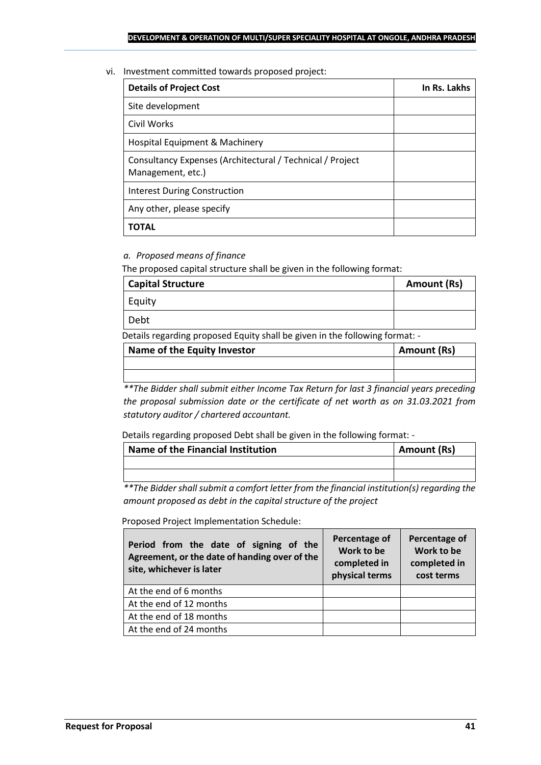vi. Investment committed towards proposed project:

| <b>Details of Project Cost</b>                                                 | In Rs. Lakhs |
|--------------------------------------------------------------------------------|--------------|
| Site development                                                               |              |
| Civil Works                                                                    |              |
| Hospital Equipment & Machinery                                                 |              |
| Consultancy Expenses (Architectural / Technical / Project<br>Management, etc.) |              |
| <b>Interest During Construction</b>                                            |              |
| Any other, please specify                                                      |              |
| ΤΟΤΑL                                                                          |              |

### *a. Proposed means of finance*

The proposed capital structure shall be given in the following format:

| <b>Capital Structure</b> | Amount (Rs) |
|--------------------------|-------------|
| Equity                   |             |
| Debt                     |             |

Details regarding proposed Equity shall be given in the following format: -

| Name of the Equity Investor | Amount (Rs) |
|-----------------------------|-------------|
|                             |             |
|                             |             |

*\*\*The Bidder shall submit either Income Tax Return for last 3 financial years preceding the proposal submission date or the certificate of net worth as on 31.03.2021 from statutory auditor / chartered accountant.*

Details regarding proposed Debt shall be given in the following format: -

| Name of the Financial Institution | Amount (Rs) |
|-----------------------------------|-------------|
|                                   |             |
|                                   |             |

*\*\*The Bidder shall submit a comfort letter from the financial institution(s) regarding the amount proposed as debt in the capital structure of the project*

Proposed Project Implementation Schedule:

| Period from the date of signing of the<br>Agreement, or the date of handing over of the<br>site, whichever is later | Percentage of<br>Work to be<br>completed in<br>physical terms | Percentage of<br>Work to be<br>completed in<br>cost terms |
|---------------------------------------------------------------------------------------------------------------------|---------------------------------------------------------------|-----------------------------------------------------------|
| At the end of 6 months                                                                                              |                                                               |                                                           |
| At the end of 12 months                                                                                             |                                                               |                                                           |
| At the end of 18 months                                                                                             |                                                               |                                                           |
| At the end of 24 months                                                                                             |                                                               |                                                           |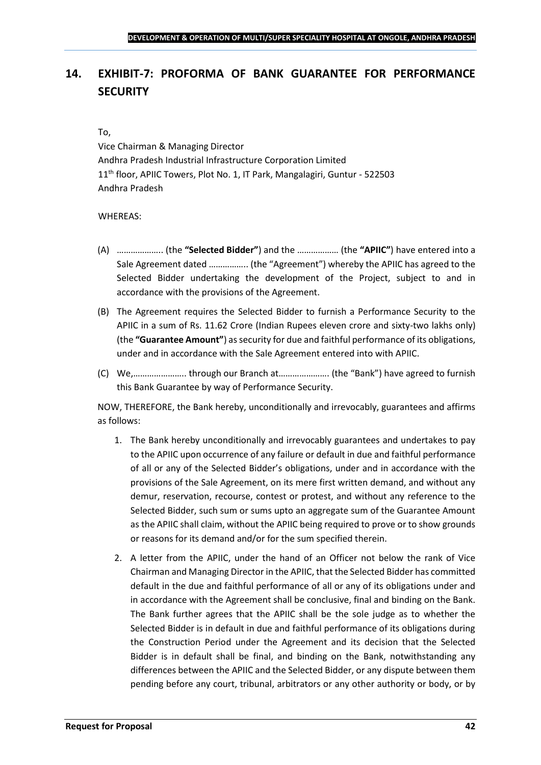# <span id="page-41-0"></span>**14. EXHIBIT-7: PROFORMA OF BANK GUARANTEE FOR PERFORMANCE SECURITY**

#### To,

Vice Chairman & Managing Director Andhra Pradesh Industrial Infrastructure Corporation Limited 11<sup>th</sup> floor, APIIC Towers, Plot No. 1, IT Park, Mangalagiri, Guntur - 522503 Andhra Pradesh

### WHEREAS:

- (A) ……………….. (the **"Selected Bidder"**) and the ……………… (the **"APIIC"**) have entered into a Sale Agreement dated …………….. (the "Agreement") whereby the APIIC has agreed to the Selected Bidder undertaking the development of the Project, subject to and in accordance with the provisions of the Agreement.
- (B) The Agreement requires the Selected Bidder to furnish a Performance Security to the APIIC in a sum of Rs. 11.62 Crore (Indian Rupees eleven crore and sixty-two lakhs only) (the **"Guarantee Amount"**) as security for due and faithful performance of its obligations, under and in accordance with the Sale Agreement entered into with APIIC.
- (C) We,………………….. through our Branch at…………………. (the "Bank") have agreed to furnish this Bank Guarantee by way of Performance Security.

NOW, THEREFORE, the Bank hereby, unconditionally and irrevocably, guarantees and affirms as follows:

- 1. The Bank hereby unconditionally and irrevocably guarantees and undertakes to pay to the APIIC upon occurrence of any failure or default in due and faithful performance of all or any of the Selected Bidder's obligations, under and in accordance with the provisions of the Sale Agreement, on its mere first written demand, and without any demur, reservation, recourse, contest or protest, and without any reference to the Selected Bidder, such sum or sums upto an aggregate sum of the Guarantee Amount as the APIIC shall claim, without the APIIC being required to prove or to show grounds or reasons for its demand and/or for the sum specified therein.
- 2. A letter from the APIIC, under the hand of an Officer not below the rank of Vice Chairman and Managing Director in the APIIC, that the Selected Bidder has committed default in the due and faithful performance of all or any of its obligations under and in accordance with the Agreement shall be conclusive, final and binding on the Bank. The Bank further agrees that the APIIC shall be the sole judge as to whether the Selected Bidder is in default in due and faithful performance of its obligations during the Construction Period under the Agreement and its decision that the Selected Bidder is in default shall be final, and binding on the Bank, notwithstanding any differences between the APIIC and the Selected Bidder, or any dispute between them pending before any court, tribunal, arbitrators or any other authority or body, or by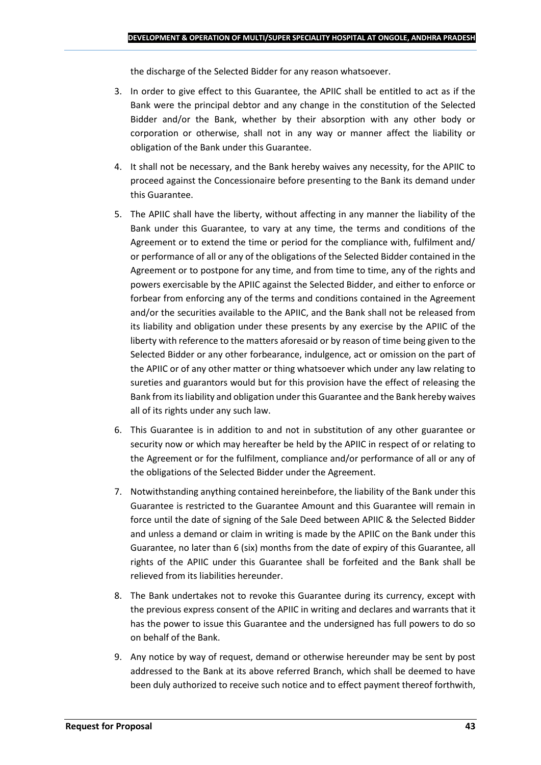the discharge of the Selected Bidder for any reason whatsoever.

- 3. In order to give effect to this Guarantee, the APIIC shall be entitled to act as if the Bank were the principal debtor and any change in the constitution of the Selected Bidder and/or the Bank, whether by their absorption with any other body or corporation or otherwise, shall not in any way or manner affect the liability or obligation of the Bank under this Guarantee.
- 4. It shall not be necessary, and the Bank hereby waives any necessity, for the APIIC to proceed against the Concessionaire before presenting to the Bank its demand under this Guarantee.
- 5. The APIIC shall have the liberty, without affecting in any manner the liability of the Bank under this Guarantee, to vary at any time, the terms and conditions of the Agreement or to extend the time or period for the compliance with, fulfilment and/ or performance of all or any of the obligations of the Selected Bidder contained in the Agreement or to postpone for any time, and from time to time, any of the rights and powers exercisable by the APIIC against the Selected Bidder, and either to enforce or forbear from enforcing any of the terms and conditions contained in the Agreement and/or the securities available to the APIIC, and the Bank shall not be released from its liability and obligation under these presents by any exercise by the APIIC of the liberty with reference to the matters aforesaid or by reason of time being given to the Selected Bidder or any other forbearance, indulgence, act or omission on the part of the APIIC or of any other matter or thing whatsoever which under any law relating to sureties and guarantors would but for this provision have the effect of releasing the Bank from its liability and obligation under this Guarantee and the Bank hereby waives all of its rights under any such law.
- 6. This Guarantee is in addition to and not in substitution of any other guarantee or security now or which may hereafter be held by the APIIC in respect of or relating to the Agreement or for the fulfilment, compliance and/or performance of all or any of the obligations of the Selected Bidder under the Agreement.
- 7. Notwithstanding anything contained hereinbefore, the liability of the Bank under this Guarantee is restricted to the Guarantee Amount and this Guarantee will remain in force until the date of signing of the Sale Deed between APIIC & the Selected Bidder and unless a demand or claim in writing is made by the APIIC on the Bank under this Guarantee, no later than 6 (six) months from the date of expiry of this Guarantee, all rights of the APIIC under this Guarantee shall be forfeited and the Bank shall be relieved from its liabilities hereunder.
- 8. The Bank undertakes not to revoke this Guarantee during its currency, except with the previous express consent of the APIIC in writing and declares and warrants that it has the power to issue this Guarantee and the undersigned has full powers to do so on behalf of the Bank.
- 9. Any notice by way of request, demand or otherwise hereunder may be sent by post addressed to the Bank at its above referred Branch, which shall be deemed to have been duly authorized to receive such notice and to effect payment thereof forthwith,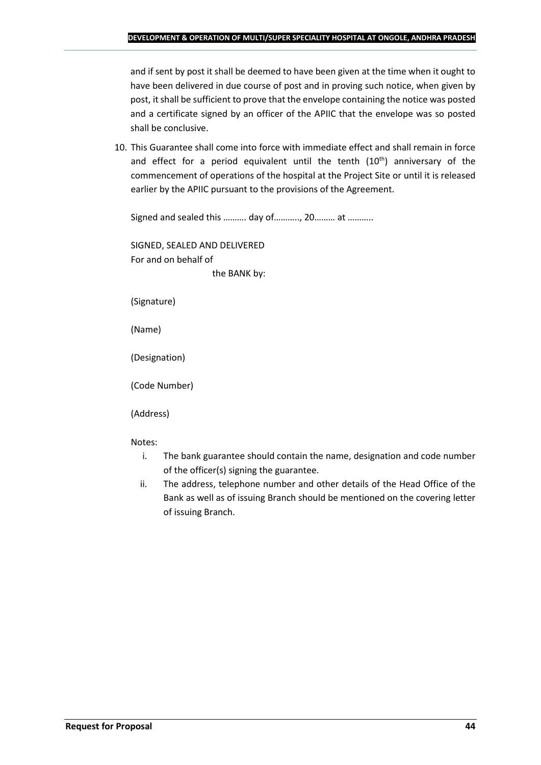and if sent by post it shall be deemed to have been given at the time when it ought to have been delivered in due course of post and in proving such notice, when given by post, it shall be sufficient to prove that the envelope containing the notice was posted and a certificate signed by an officer of the APIIC that the envelope was so posted shall be conclusive.

10. This Guarantee shall come into force with immediate effect and shall remain in force and effect for a period equivalent until the tenth (10<sup>th</sup>) anniversary of the commencement of operations of the hospital at the Project Site or until it is released earlier by the APIIC pursuant to the provisions of the Agreement.

Signed and sealed this ………. day of……….., 20……… at ………..

SIGNED, SEALED AND DELIVERED For and on behalf of the BANK by:

(Signature)

(Name)

(Designation)

(Code Number)

(Address)

Notes:

- i. The bank guarantee should contain the name, designation and code number of the officer(s) signing the guarantee.
- ii. The address, telephone number and other details of the Head Office of the Bank as well as of issuing Branch should be mentioned on the covering letter of issuing Branch.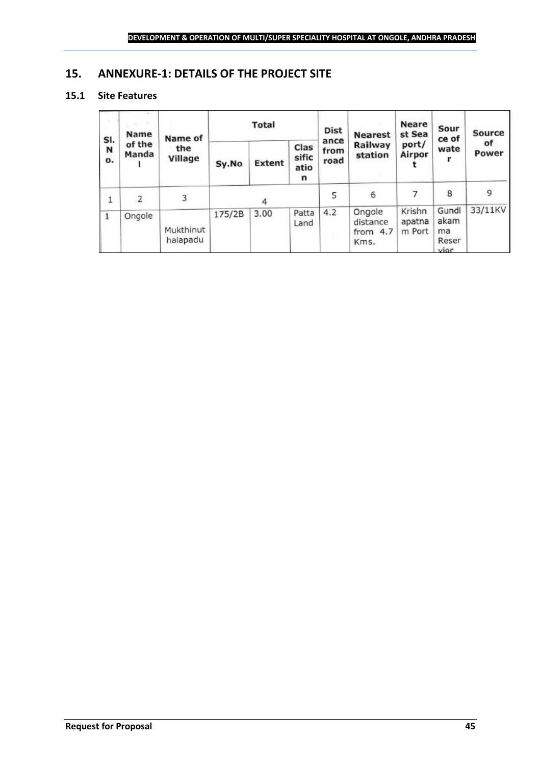### <span id="page-44-0"></span>**15. ANNEXURE-1: DETAILS OF THE PROJECT SITE**

### **15.1 Site Features**

| SI.<br>N<br>$\mathbf{o}$ . | Name<br>of the<br>Manda | Name of<br>the<br>Village | Total  |               | <b>Dist</b>                | <b>Nearest</b>       | <b>Neare</b><br>st Sea                   | Sour<br>ce of              | Source                            |             |
|----------------------------|-------------------------|---------------------------|--------|---------------|----------------------------|----------------------|------------------------------------------|----------------------------|-----------------------------------|-------------|
|                            |                         |                           | Sy.No  | <b>Extent</b> | Clas<br>sific<br>atio<br>n | ance<br>from<br>road | Railway<br>station                       | port/<br>Airpor            | wate                              | οf<br>Power |
| 1                          | 2                       | 3                         | 4      |               | 5                          | 6                    | 7                                        | 8                          | 9                                 |             |
|                            | Ongole                  | Mukthinut<br>halapadu     | 175/2B | 3.00          | Patta<br>Land              | 4.2                  | Ongole<br>distance<br>from $4.7$<br>Kms. | Krishn<br>apatna<br>m Port | Gundl<br>akam<br>ma<br>Reser<br>i | 33/11KV     |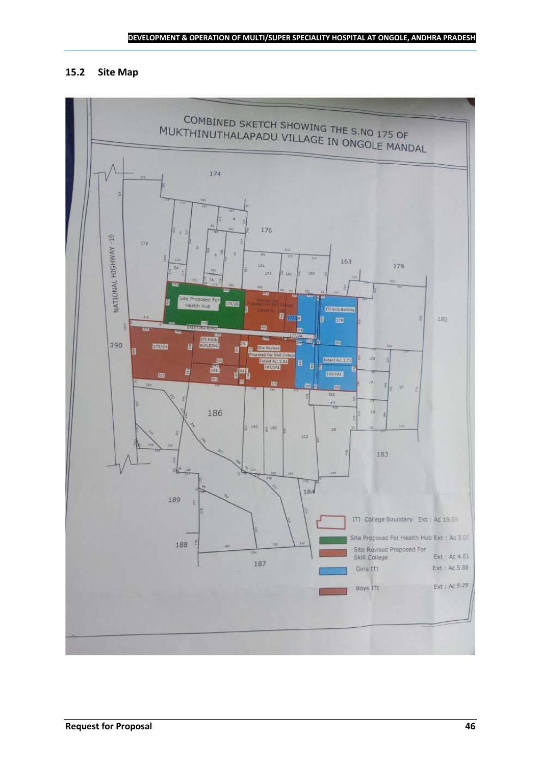### **15.2 Site Map**

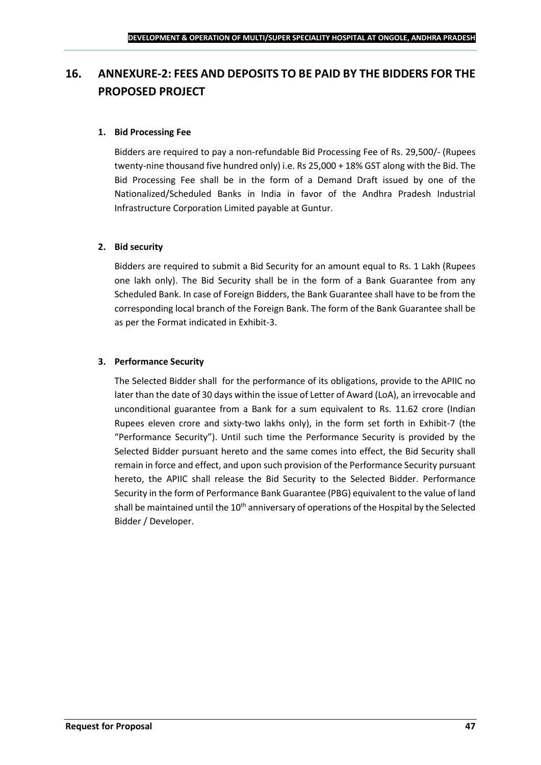# <span id="page-46-0"></span>**16. ANNEXURE-2: FEES AND DEPOSITS TO BE PAID BY THE BIDDERS FOR THE PROPOSED PROJECT**

### **1. Bid Processing Fee**

Bidders are required to pay a non-refundable Bid Processing Fee of Rs. 29,500/- (Rupees twenty-nine thousand five hundred only) i.e. Rs 25,000 + 18% GST along with the Bid. The Bid Processing Fee shall be in the form of a Demand Draft issued by one of the Nationalized/Scheduled Banks in India in favor of the Andhra Pradesh Industrial Infrastructure Corporation Limited payable at Guntur.

### **2. Bid security**

Bidders are required to submit a Bid Security for an amount equal to Rs. 1 Lakh (Rupees one lakh only). The Bid Security shall be in the form of a Bank Guarantee from any Scheduled Bank. In case of Foreign Bidders, the Bank Guarantee shall have to be from the corresponding local branch of the Foreign Bank. The form of the Bank Guarantee shall be as per the Format indicated in Exhibit-3.

### **3. Performance Security**

The Selected Bidder shall for the performance of its obligations, provide to the APIIC no later than the date of 30 days within the issue of Letter of Award (LoA), an irrevocable and unconditional guarantee from a Bank for a sum equivalent to Rs. 11.62 crore (Indian Rupees eleven crore and sixty-two lakhs only), in the form set forth in Exhibit-7 (the "Performance Security"). Until such time the Performance Security is provided by the Selected Bidder pursuant hereto and the same comes into effect, the Bid Security shall remain in force and effect, and upon such provision of the Performance Security pursuant hereto, the APIIC shall release the Bid Security to the Selected Bidder. Performance Security in the form of Performance Bank Guarantee (PBG) equivalent to the value of land shall be maintained until the  $10<sup>th</sup>$  anniversary of operations of the Hospital by the Selected Bidder / Developer.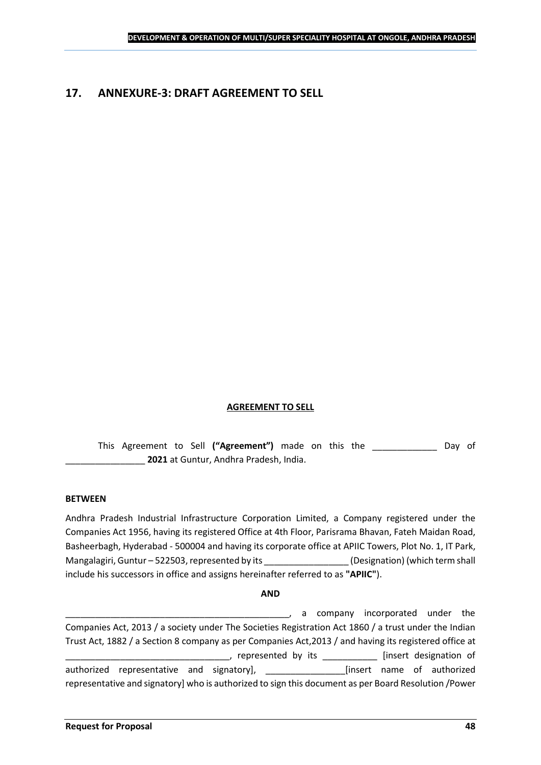### <span id="page-47-0"></span>**17. ANNEXURE-3: DRAFT AGREEMENT TO SELL**

### **AGREEMENT TO SELL**

This Agreement to Sell **("Agreement")** made on this the \_\_\_\_\_\_\_\_\_\_\_\_\_ Day of \_\_\_\_\_\_\_\_\_\_\_\_\_\_\_\_ **2021** at Guntur, Andhra Pradesh, India.

#### **BETWEEN**

Andhra Pradesh Industrial Infrastructure Corporation Limited, a Company registered under the Companies Act 1956, having its registered Office at 4th Floor, Parisrama Bhavan, Fateh Maidan Road, Basheerbagh, Hyderabad - 500004 and having its corporate office at APIIC Towers, Plot No. 1, IT Park, Mangalagiri, Guntur – 522503, represented by its \_\_\_\_\_\_\_\_\_\_\_\_\_\_\_\_\_\_\_\_\_\_\_\_\_\_\_\_\_\_\_\_<br>(Designation) (which term shall include his successors in office and assigns hereinafter referred to as **"APIIC"**).

#### **AND**

\_\_\_\_\_\_\_\_\_\_\_\_\_\_\_\_\_\_\_\_\_\_\_\_\_\_\_\_\_\_\_\_\_\_\_\_\_\_\_\_\_\_\_\_\_, a company incorporated under the Companies Act, 2013 / a society under The Societies Registration Act 1860 / a trust under the Indian Trust Act, 1882 / a Section 8 company as per Companies Act,2013 / and having its registered office at \_\_\_\_\_, represented by its \_\_\_\_\_\_\_\_\_\_\_\_\_ [insert designation of authorized representative and signatory], \_\_\_\_\_\_\_\_\_\_\_\_\_\_\_\_[insert name of authorized representative and signatory] who is authorized to sign this document as per Board Resolution /Power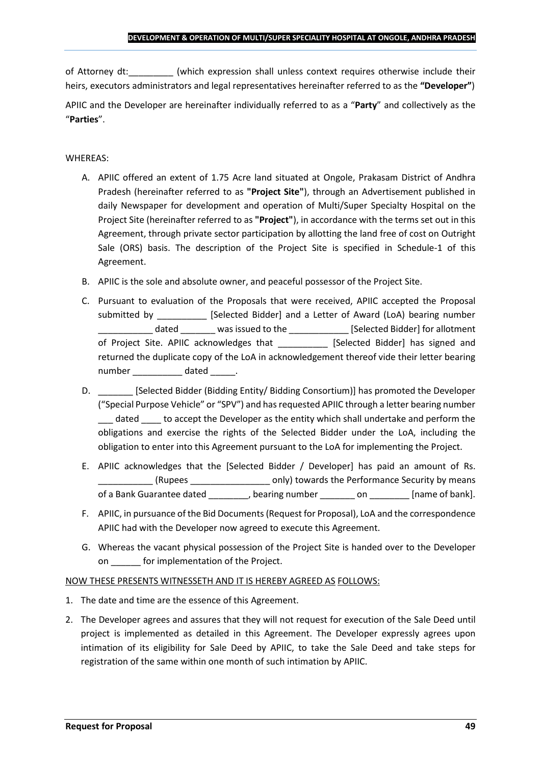of Attorney dt:  $\qquad \qquad$  (which expression shall unless context requires otherwise include their heirs, executors administrators and legal representatives hereinafter referred to as the **"Developer"**)

APIIC and the Developer are hereinafter individually referred to as a "**Party**" and collectively as the "**Parties**".

### WHEREAS:

- A. APIIC offered an extent of 1.75 Acre land situated at Ongole, Prakasam District of Andhra Pradesh (hereinafter referred to as **"Project Site"**), through an Advertisement published in daily Newspaper for development and operation of Multi/Super Specialty Hospital on the Project Site (hereinafter referred to as **"Project"**), in accordance with the terms set out in this Agreement, through private sector participation by allotting the land free of cost on Outright Sale (ORS) basis. The description of the Project Site is specified in Schedule-1 of this Agreement.
- B. APIIC is the sole and absolute owner, and peaceful possessor of the Project Site.
- C. Pursuant to evaluation of the Proposals that were received, APIIC accepted the Proposal submitted by [Selected Bidder] and a Letter of Award (LoA) bearing number \_\_\_\_\_\_\_\_\_\_\_ dated \_\_\_\_\_\_\_ was issued to the \_\_\_\_\_\_\_\_\_\_\_\_ [Selected Bidder] for allotment of Project Site. APIIC acknowledges that [Selected Bidder] has signed and returned the duplicate copy of the LoA in acknowledgement thereof vide their letter bearing number dated the dated and the dated and the dated  $\sim$
- D. \_\_\_\_\_\_\_ [Selected Bidder (Bidding Entity/ Bidding Consortium)] has promoted the Developer ("Special Purpose Vehicle" or "SPV") and has requested APIIC through a letter bearing number dated to accept the Developer as the entity which shall undertake and perform the obligations and exercise the rights of the Selected Bidder under the LoA, including the obligation to enter into this Agreement pursuant to the LoA for implementing the Project.
- E. APIIC acknowledges that the [Selected Bidder / Developer] has paid an amount of Rs. \_\_\_\_\_\_\_\_\_\_\_ (Rupees \_\_\_\_\_\_\_\_\_\_\_\_\_\_\_\_ only) towards the Performance Security by means of a Bank Guarantee dated bearing number on the lame of bank].
- F. APIIC, in pursuance of the Bid Documents (Request for Proposal), LoA and the correspondence APIIC had with the Developer now agreed to execute this Agreement.
- G. Whereas the vacant physical possession of the Project Site is handed over to the Developer on \_\_\_\_\_\_ for implementation of the Project.

### NOW THESE PRESENTS WITNESSETH AND IT IS HEREBY AGREED AS FOLLOWS:

- 1. The date and time are the essence of this Agreement.
- 2. The Developer agrees and assures that they will not request for execution of the Sale Deed until project is implemented as detailed in this Agreement. The Developer expressly agrees upon intimation of its eligibility for Sale Deed by APIIC, to take the Sale Deed and take steps for registration of the same within one month of such intimation by APIIC.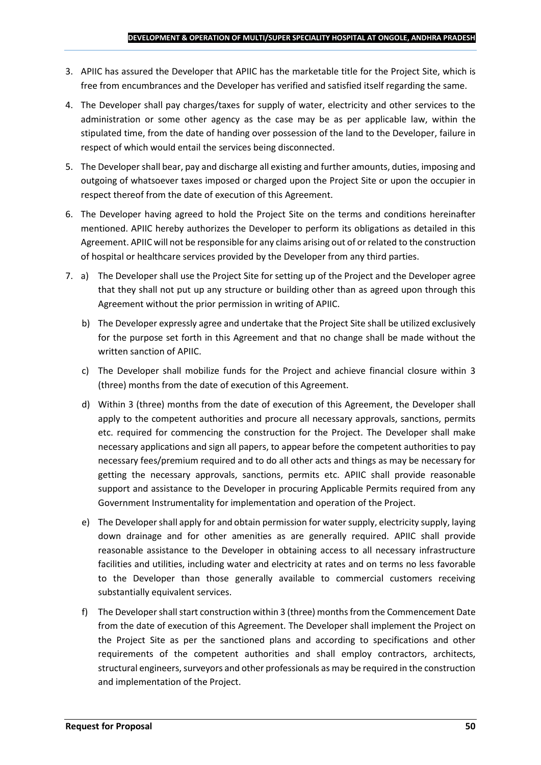- 3. APIIC has assured the Developer that APIIC has the marketable title for the Project Site, which is free from encumbrances and the Developer has verified and satisfied itself regarding the same.
- 4. The Developer shall pay charges/taxes for supply of water, electricity and other services to the administration or some other agency as the case may be as per applicable law, within the stipulated time, from the date of handing over possession of the land to the Developer, failure in respect of which would entail the services being disconnected.
- 5. The Developer shall bear, pay and discharge all existing and further amounts, duties, imposing and outgoing of whatsoever taxes imposed or charged upon the Project Site or upon the occupier in respect thereof from the date of execution of this Agreement.
- 6. The Developer having agreed to hold the Project Site on the terms and conditions hereinafter mentioned. APIIC hereby authorizes the Developer to perform its obligations as detailed in this Agreement. APIIC will not be responsible for any claims arising out of or related to the construction of hospital or healthcare services provided by the Developer from any third parties.
- 7. a) The Developer shall use the Project Site for setting up of the Project and the Developer agree that they shall not put up any structure or building other than as agreed upon through this Agreement without the prior permission in writing of APIIC.
	- b) The Developer expressly agree and undertake that the Project Site shall be utilized exclusively for the purpose set forth in this Agreement and that no change shall be made without the written sanction of APIIC.
	- c) The Developer shall mobilize funds for the Project and achieve financial closure within 3 (three) months from the date of execution of this Agreement.
	- d) Within 3 (three) months from the date of execution of this Agreement, the Developer shall apply to the competent authorities and procure all necessary approvals, sanctions, permits etc. required for commencing the construction for the Project. The Developer shall make necessary applications and sign all papers, to appear before the competent authorities to pay necessary fees/premium required and to do all other acts and things as may be necessary for getting the necessary approvals, sanctions, permits etc. APIIC shall provide reasonable support and assistance to the Developer in procuring Applicable Permits required from any Government Instrumentality for implementation and operation of the Project.
	- e) The Developer shall apply for and obtain permission for water supply, electricity supply, laying down drainage and for other amenities as are generally required. APIIC shall provide reasonable assistance to the Developer in obtaining access to all necessary infrastructure facilities and utilities, including water and electricity at rates and on terms no less favorable to the Developer than those generally available to commercial customers receiving substantially equivalent services.
	- f) The Developer shall start construction within 3 (three) months from the Commencement Date from the date of execution of this Agreement. The Developer shall implement the Project on the Project Site as per the sanctioned plans and according to specifications and other requirements of the competent authorities and shall employ contractors, architects, structural engineers, surveyors and other professionals as may be required in the construction and implementation of the Project.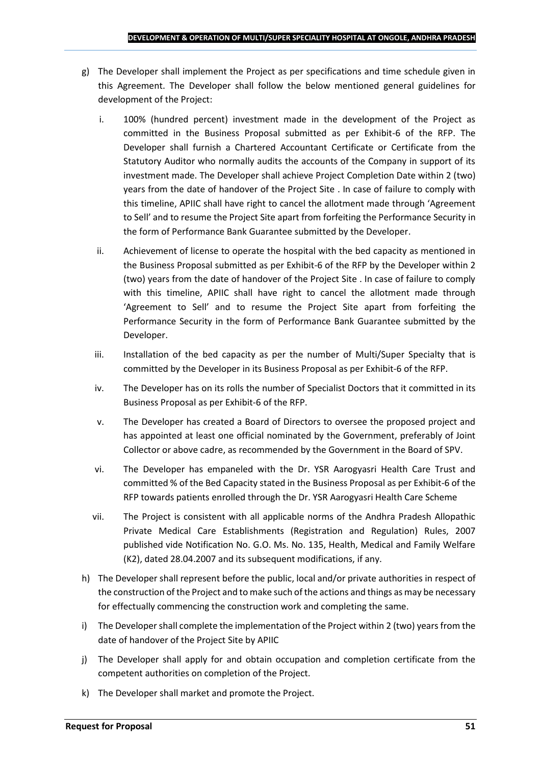- g) The Developer shall implement the Project as per specifications and time schedule given in this Agreement. The Developer shall follow the below mentioned general guidelines for development of the Project:
	- i. 100% (hundred percent) investment made in the development of the Project as committed in the Business Proposal submitted as per Exhibit-6 of the RFP. The Developer shall furnish a Chartered Accountant Certificate or Certificate from the Statutory Auditor who normally audits the accounts of the Company in support of its investment made. The Developer shall achieve Project Completion Date within 2 (two) years from the date of handover of the Project Site . In case of failure to comply with this timeline, APIIC shall have right to cancel the allotment made through 'Agreement to Sell' and to resume the Project Site apart from forfeiting the Performance Security in the form of Performance Bank Guarantee submitted by the Developer.
	- ii. Achievement of license to operate the hospital with the bed capacity as mentioned in the Business Proposal submitted as per Exhibit-6 of the RFP by the Developer within 2 (two) years from the date of handover of the Project Site . In case of failure to comply with this timeline, APIIC shall have right to cancel the allotment made through 'Agreement to Sell' and to resume the Project Site apart from forfeiting the Performance Security in the form of Performance Bank Guarantee submitted by the Developer.
	- iii. Installation of the bed capacity as per the number of Multi/Super Specialty that is committed by the Developer in its Business Proposal as per Exhibit-6 of the RFP.
	- iv. The Developer has on its rolls the number of Specialist Doctors that it committed in its Business Proposal as per Exhibit-6 of the RFP.
	- v. The Developer has created a Board of Directors to oversee the proposed project and has appointed at least one official nominated by the Government, preferably of Joint Collector or above cadre, as recommended by the Government in the Board of SPV.
	- vi. The Developer has empaneled with the Dr. YSR Aarogyasri Health Care Trust and committed % of the Bed Capacity stated in the Business Proposal as per Exhibit-6 of the RFP towards patients enrolled through the Dr. YSR Aarogyasri Health Care Scheme
	- vii. The Project is consistent with all applicable norms of the Andhra Pradesh Allopathic Private Medical Care Establishments (Registration and Regulation) Rules, 2007 published vide Notification No. G.O. Ms. No. 135, Health, Medical and Family Welfare (K2), dated 28.04.2007 and its subsequent modifications, if any.
- h) The Developer shall represent before the public, local and/or private authorities in respect of the construction of the Project and to make such of the actions and things as may be necessary for effectually commencing the construction work and completing the same.
- i) The Developer shall complete the implementation of the Project within 2 (two) years from the date of handover of the Project Site by APIIC
- j) The Developer shall apply for and obtain occupation and completion certificate from the competent authorities on completion of the Project.
- k) The Developer shall market and promote the Project.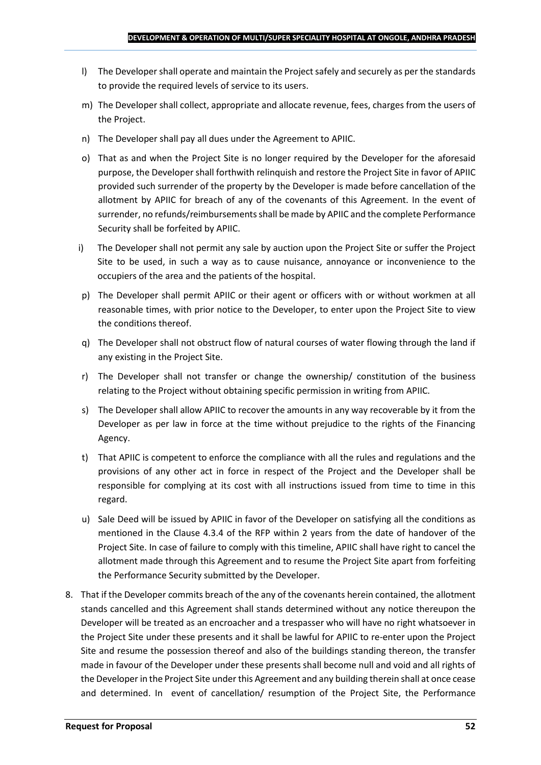- l) The Developer shall operate and maintain the Project safely and securely as per the standards to provide the required levels of service to its users.
- m) The Developer shall collect, appropriate and allocate revenue, fees, charges from the users of the Project.
- n) The Developer shall pay all dues under the Agreement to APIIC.
- o) That as and when the Project Site is no longer required by the Developer for the aforesaid purpose, the Developer shall forthwith relinquish and restore the Project Site in favor of APIIC provided such surrender of the property by the Developer is made before cancellation of the allotment by APIIC for breach of any of the covenants of this Agreement. In the event of surrender, no refunds/reimbursements shall be made by APIIC and the complete Performance Security shall be forfeited by APIIC.
- i) The Developer shall not permit any sale by auction upon the Project Site or suffer the Project Site to be used, in such a way as to cause nuisance, annoyance or inconvenience to the occupiers of the area and the patients of the hospital.
- p) The Developer shall permit APIIC or their agent or officers with or without workmen at all reasonable times, with prior notice to the Developer, to enter upon the Project Site to view the conditions thereof.
- q) The Developer shall not obstruct flow of natural courses of water flowing through the land if any existing in the Project Site.
- r) The Developer shall not transfer or change the ownership/ constitution of the business relating to the Project without obtaining specific permission in writing from APIIC.
- s) The Developer shall allow APIIC to recover the amounts in any way recoverable by it from the Developer as per law in force at the time without prejudice to the rights of the Financing Agency.
- t) That APIIC is competent to enforce the compliance with all the rules and regulations and the provisions of any other act in force in respect of the Project and the Developer shall be responsible for complying at its cost with all instructions issued from time to time in this regard.
- u) Sale Deed will be issued by APIIC in favor of the Developer on satisfying all the conditions as mentioned in the Clause 4.3.4 of the RFP within 2 years from the date of handover of the Project Site. In case of failure to comply with this timeline, APIIC shall have right to cancel the allotment made through this Agreement and to resume the Project Site apart from forfeiting the Performance Security submitted by the Developer.
- 8. That if the Developer commits breach of the any of the covenants herein contained, the allotment stands cancelled and this Agreement shall stands determined without any notice thereupon the Developer will be treated as an encroacher and a trespasser who will have no right whatsoever in the Project Site under these presents and it shall be lawful for APIIC to re-enter upon the Project Site and resume the possession thereof and also of the buildings standing thereon, the transfer made in favour of the Developer under these presents shall become null and void and all rights of the Developer in the Project Site under this Agreement and any building therein shall at once cease and determined. In event of cancellation/ resumption of the Project Site, the Performance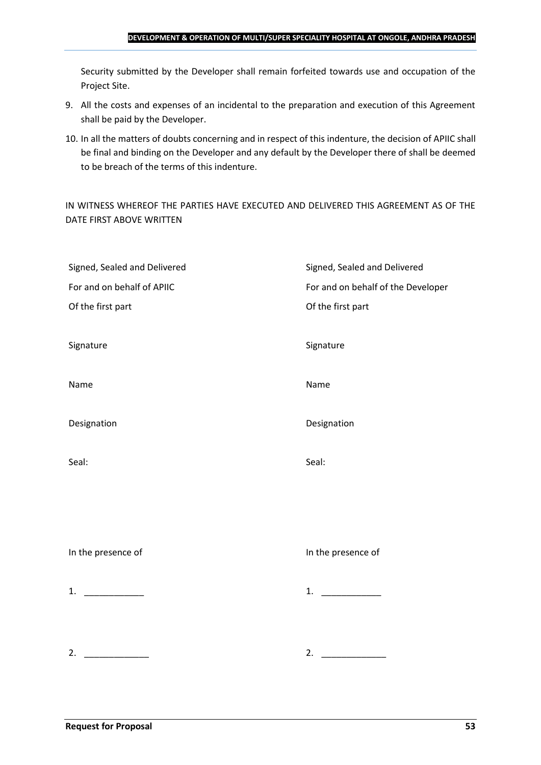#### **DEVELOPMENT & OPERATION OF MULTI/SUPER SPECIALITY HOSPITAL AT ONGOLE, ANDHRA PRADESH**

Security submitted by the Developer shall remain forfeited towards use and occupation of the Project Site.

- 9. All the costs and expenses of an incidental to the preparation and execution of this Agreement shall be paid by the Developer.
- 10. In all the matters of doubts concerning and in respect of this indenture, the decision of APIIC shall be final and binding on the Developer and any default by the Developer there of shall be deemed to be breach of the terms of this indenture.

IN WITNESS WHEREOF THE PARTIES HAVE EXECUTED AND DELIVERED THIS AGREEMENT AS OF THE DATE FIRST ABOVE WRITTEN

| Signed, Sealed and Delivered | Signed, Sealed and Delivered       |
|------------------------------|------------------------------------|
| For and on behalf of APIIC   | For and on behalf of the Developer |
| Of the first part            | Of the first part                  |
|                              |                                    |
| Signature                    | Signature                          |
|                              |                                    |
| Name                         | Name                               |
|                              |                                    |
| Designation                  | Designation                        |
|                              |                                    |
| Seal:                        | Seal:                              |
|                              |                                    |
|                              |                                    |
|                              |                                    |
|                              |                                    |
| In the presence of           | In the presence of                 |
|                              |                                    |
| 1. $\qquad \qquad$           | 1. $\qquad$                        |
|                              |                                    |
|                              |                                    |
|                              |                                    |
| 2.                           | 2.                                 |
|                              |                                    |